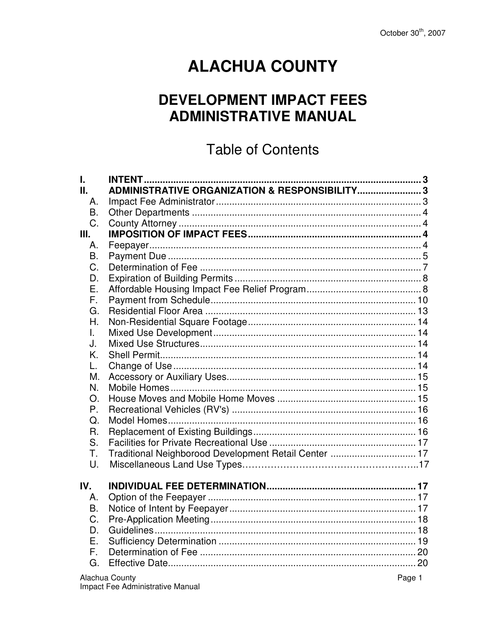# **ALACHUA COUNTY**

# **DEVELOPMENT IMPACT FEES ADMINISTRATIVE MANUAL**

# **Table of Contents**

| L.             |                                                          |        |
|----------------|----------------------------------------------------------|--------|
| П.             | <b>ADMINISTRATIVE ORGANIZATION &amp; RESPONSIBILITY3</b> |        |
| Α.             |                                                          |        |
| <b>B.</b>      |                                                          |        |
| C.             |                                                          |        |
| III.           |                                                          |        |
| Α.             |                                                          |        |
| B.             |                                                          |        |
| C.             |                                                          |        |
| D.             |                                                          |        |
| Е.             |                                                          |        |
| F.             |                                                          |        |
| G.             |                                                          |        |
| Η.             |                                                          |        |
| L.             |                                                          |        |
| J.             |                                                          |        |
| K.             |                                                          |        |
| L.             |                                                          |        |
| Μ.             |                                                          |        |
| N.             |                                                          |        |
| O <sub>r</sub> |                                                          |        |
| P.             |                                                          |        |
| $Q_{\cdot}$    |                                                          |        |
| R.             |                                                          |        |
| S.             |                                                          |        |
| Τ.             | Traditional Neighborood Development Retail Center  17    |        |
| U.             |                                                          |        |
|                |                                                          |        |
| IV.            |                                                          |        |
| Α.             |                                                          |        |
| <b>B.</b>      |                                                          |        |
| C.             |                                                          |        |
| D.             |                                                          |        |
| Е.             |                                                          |        |
| F.             |                                                          |        |
| G.             |                                                          |        |
|                | Alachua County                                           | Page 1 |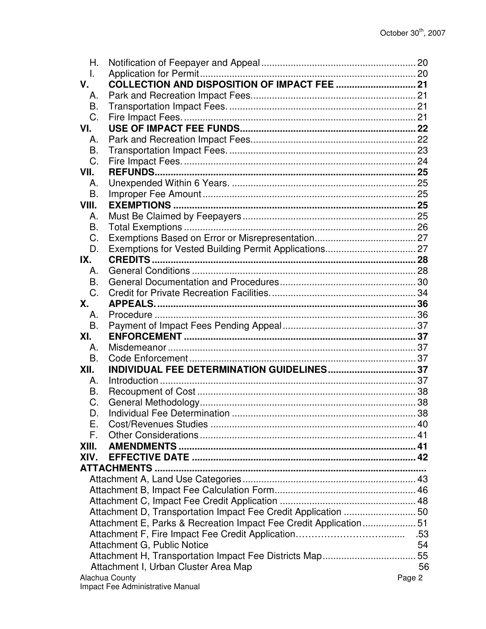| Η.        |                                                                  |        |
|-----------|------------------------------------------------------------------|--------|
| I.        |                                                                  |        |
| V.        |                                                                  |        |
| Α.        |                                                                  |        |
| B.        |                                                                  |        |
| C.        |                                                                  |        |
| VI.       |                                                                  |        |
| А.        |                                                                  |        |
| <b>B.</b> |                                                                  |        |
| C.        |                                                                  |        |
| VII.      |                                                                  |        |
| Α.        |                                                                  |        |
| <b>B.</b> |                                                                  |        |
| VIII.     |                                                                  |        |
| Α.        |                                                                  |        |
| <b>B.</b> |                                                                  |        |
| C.        |                                                                  |        |
| D.        |                                                                  |        |
| IX.       |                                                                  |        |
| Α.        |                                                                  |        |
| B.        |                                                                  |        |
| C.        |                                                                  |        |
| <b>X.</b> |                                                                  |        |
| Α.        |                                                                  |        |
| B.        |                                                                  |        |
| XI.       |                                                                  |        |
|           |                                                                  |        |
| Α.        |                                                                  |        |
| B.        |                                                                  |        |
| XII.      |                                                                  |        |
| Α.        |                                                                  |        |
| В.        |                                                                  |        |
| C.        |                                                                  |        |
| D.        |                                                                  | .38    |
| Е.        |                                                                  |        |
| F.        |                                                                  |        |
| XIII.     |                                                                  |        |
| XIV.      |                                                                  |        |
|           |                                                                  |        |
|           |                                                                  |        |
|           |                                                                  |        |
|           |                                                                  |        |
|           | Attachment D, Transportation Impact Fee Credit Application 50    |        |
|           | Attachment E, Parks & Recreation Impact Fee Credit Application51 |        |
|           |                                                                  |        |
|           | Attachment G, Public Notice                                      | 54     |
|           |                                                                  |        |
|           | Attachment I, Urban Cluster Area Map                             | 56     |
|           | Alachua County                                                   | Page 2 |
|           | Impact Fee Administrative Manual                                 |        |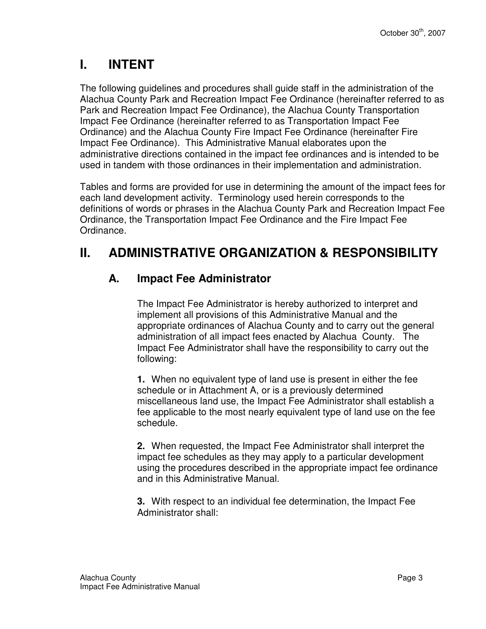# **I. INTENT**

The following guidelines and procedures shall guide staff in the administration of the Alachua County Park and Recreation Impact Fee Ordinance (hereinafter referred to as Park and Recreation Impact Fee Ordinance), the Alachua County Transportation Impact Fee Ordinance (hereinafter referred to as Transportation Impact Fee Ordinance) and the Alachua County Fire Impact Fee Ordinance (hereinafter Fire Impact Fee Ordinance). This Administrative Manual elaborates upon the administrative directions contained in the impact fee ordinances and is intended to be used in tandem with those ordinances in their implementation and administration.

Tables and forms are provided for use in determining the amount of the impact fees for each land development activity. Terminology used herein corresponds to the definitions of words or phrases in the Alachua County Park and Recreation Impact Fee Ordinance, the Transportation Impact Fee Ordinance and the Fire Impact Fee Ordinance.

# **II. ADMINISTRATIVE ORGANIZATION & RESPONSIBILITY**

### **A. Impact Fee Administrator**

The Impact Fee Administrator is hereby authorized to interpret and implement all provisions of this Administrative Manual and the appropriate ordinances of Alachua County and to carry out the general administration of all impact fees enacted by Alachua County. The Impact Fee Administrator shall have the responsibility to carry out the following:

**1.** When no equivalent type of land use is present in either the fee schedule or in Attachment A, or is a previously determined miscellaneous land use, the Impact Fee Administrator shall establish a fee applicable to the most nearly equivalent type of land use on the fee schedule.

**2.** When requested, the Impact Fee Administrator shall interpret the impact fee schedules as they may apply to a particular development using the procedures described in the appropriate impact fee ordinance and in this Administrative Manual.

**3.** With respect to an individual fee determination, the Impact Fee Administrator shall: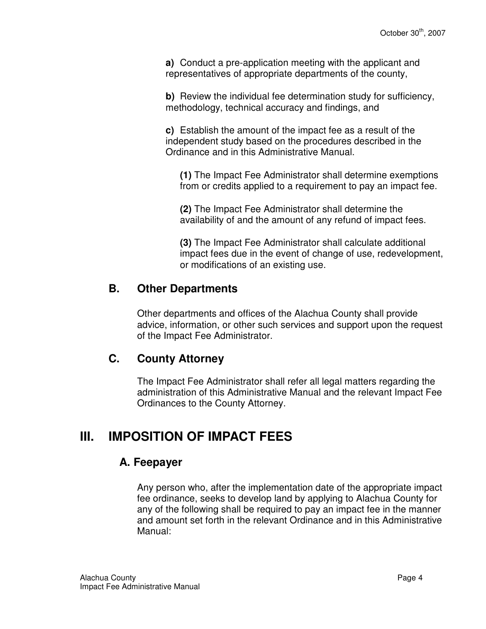**a)** Conduct a pre-application meeting with the applicant and representatives of appropriate departments of the county,

**b)** Review the individual fee determination study for sufficiency, methodology, technical accuracy and findings, and

**c)** Establish the amount of the impact fee as a result of the independent study based on the procedures described in the Ordinance and in this Administrative Manual.

**(1)** The Impact Fee Administrator shall determine exemptions from or credits applied to a requirement to pay an impact fee.

**(2)** The Impact Fee Administrator shall determine the availability of and the amount of any refund of impact fees.

**(3)** The Impact Fee Administrator shall calculate additional impact fees due in the event of change of use, redevelopment, or modifications of an existing use.

### **B. Other Departments**

Other departments and offices of the Alachua County shall provide advice, information, or other such services and support upon the request of the Impact Fee Administrator.

#### **C. County Attorney**

The Impact Fee Administrator shall refer all legal matters regarding the administration of this Administrative Manual and the relevant Impact Fee Ordinances to the County Attorney.

# **III. IMPOSITION OF IMPACT FEES**

#### **A. Feepayer**

Any person who, after the implementation date of the appropriate impact fee ordinance, seeks to develop land by applying to Alachua County for any of the following shall be required to pay an impact fee in the manner and amount set forth in the relevant Ordinance and in this Administrative Manual: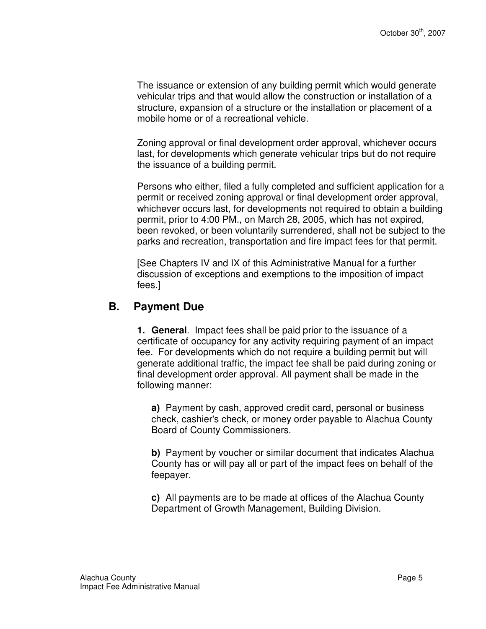The issuance or extension of any building permit which would generate vehicular trips and that would allow the construction or installation of a structure, expansion of a structure or the installation or placement of a mobile home or of a recreational vehicle.

Zoning approval or final development order approval, whichever occurs last, for developments which generate vehicular trips but do not require the issuance of a building permit.

Persons who either, filed a fully completed and sufficient application for a permit or received zoning approval or final development order approval, whichever occurs last, for developments not required to obtain a building permit, prior to 4:00 PM., on March 28, 2005, which has not expired, been revoked, or been voluntarily surrendered, shall not be subject to the parks and recreation, transportation and fire impact fees for that permit.

[See Chapters IV and IX of this Administrative Manual for a further discussion of exceptions and exemptions to the imposition of impact fees.]

#### **B. Payment Due**

**1. General**. Impact fees shall be paid prior to the issuance of a certificate of occupancy for any activity requiring payment of an impact fee. For developments which do not require a building permit but will generate additional traffic, the impact fee shall be paid during zoning or final development order approval. All payment shall be made in the following manner:

**a)** Payment by cash, approved credit card, personal or business check, cashier's check, or money order payable to Alachua County Board of County Commissioners.

**b)** Payment by voucher or similar document that indicates Alachua County has or will pay all or part of the impact fees on behalf of the feepayer.

**c)** All payments are to be made at offices of the Alachua County Department of Growth Management, Building Division.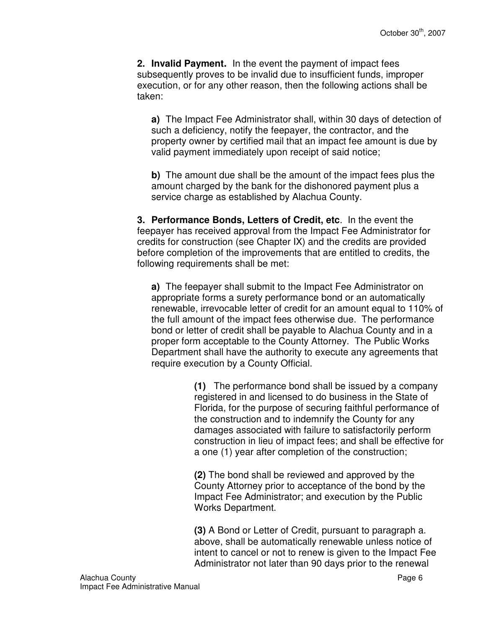**2. Invalid Payment.** In the event the payment of impact fees subsequently proves to be invalid due to insufficient funds, improper execution, or for any other reason, then the following actions shall be taken:

**a)** The Impact Fee Administrator shall, within 30 days of detection of such a deficiency, notify the feepayer, the contractor, and the property owner by certified mail that an impact fee amount is due by valid payment immediately upon receipt of said notice;

**b**) The amount due shall be the amount of the impact fees plus the amount charged by the bank for the dishonored payment plus a service charge as established by Alachua County.

**3. Performance Bonds, Letters of Credit, etc**. In the event the feepayer has received approval from the Impact Fee Administrator for credits for construction (see Chapter IX) and the credits are provided before completion of the improvements that are entitled to credits, the following requirements shall be met:

**a)** The feepayer shall submit to the Impact Fee Administrator on appropriate forms a surety performance bond or an automatically renewable, irrevocable letter of credit for an amount equal to 110% of the full amount of the impact fees otherwise due. The performance bond or letter of credit shall be payable to Alachua County and in a proper form acceptable to the County Attorney. The Public Works Department shall have the authority to execute any agreements that require execution by a County Official.

> **(1)** The performance bond shall be issued by a company registered in and licensed to do business in the State of Florida, for the purpose of securing faithful performance of the construction and to indemnify the County for any damages associated with failure to satisfactorily perform construction in lieu of impact fees; and shall be effective for a one (1) year after completion of the construction;

**(2)** The bond shall be reviewed and approved by the County Attorney prior to acceptance of the bond by the Impact Fee Administrator; and execution by the Public Works Department.

**(3)** A Bond or Letter of Credit, pursuant to paragraph a. above, shall be automatically renewable unless notice of intent to cancel or not to renew is given to the Impact Fee Administrator not later than 90 days prior to the renewal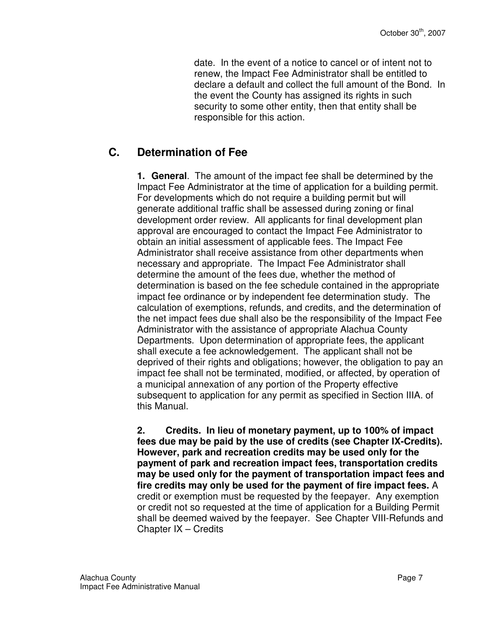date. In the event of a notice to cancel or of intent not to renew, the Impact Fee Administrator shall be entitled to declare a default and collect the full amount of the Bond. In the event the County has assigned its rights in such security to some other entity, then that entity shall be responsible for this action.

## **C. Determination of Fee**

**1. General**. The amount of the impact fee shall be determined by the Impact Fee Administrator at the time of application for a building permit. For developments which do not require a building permit but will generate additional traffic shall be assessed during zoning or final development order review. All applicants for final development plan approval are encouraged to contact the Impact Fee Administrator to obtain an initial assessment of applicable fees. The Impact Fee Administrator shall receive assistance from other departments when necessary and appropriate. The Impact Fee Administrator shall determine the amount of the fees due, whether the method of determination is based on the fee schedule contained in the appropriate impact fee ordinance or by independent fee determination study. The calculation of exemptions, refunds, and credits, and the determination of the net impact fees due shall also be the responsibility of the Impact Fee Administrator with the assistance of appropriate Alachua County Departments. Upon determination of appropriate fees, the applicant shall execute a fee acknowledgement. The applicant shall not be deprived of their rights and obligations; however, the obligation to pay an impact fee shall not be terminated, modified, or affected, by operation of a municipal annexation of any portion of the Property effective subsequent to application for any permit as specified in Section IIIA. of this Manual.

**2. Credits. In lieu of monetary payment, up to 100% of impact fees due may be paid by the use of credits (see Chapter IX-Credits). However, park and recreation credits may be used only for the payment of park and recreation impact fees, transportation credits may be used only for the payment of transportation impact fees and fire credits may only be used for the payment of fire impact fees.** A credit or exemption must be requested by the feepayer. Any exemption or credit not so requested at the time of application for a Building Permit shall be deemed waived by the feepayer. See Chapter VIII-Refunds and Chapter IX – Credits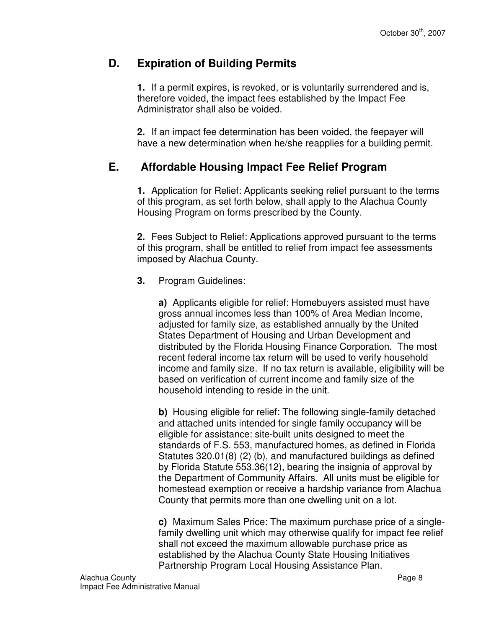### **D. Expiration of Building Permits**

**1.** If a permit expires, is revoked, or is voluntarily surrendered and is, therefore voided, the impact fees established by the Impact Fee Administrator shall also be voided.

**2.** If an impact fee determination has been voided, the feepayer will have a new determination when he/she reapplies for a building permit.

### **E. Affordable Housing Impact Fee Relief Program**

**1.** Application for Relief: Applicants seeking relief pursuant to the terms of this program, as set forth below, shall apply to the Alachua County Housing Program on forms prescribed by the County.

**2.** Fees Subject to Relief: Applications approved pursuant to the terms of this program, shall be entitled to relief from impact fee assessments imposed by Alachua County.

**3.** Program Guidelines:

**a)** Applicants eligible for relief: Homebuyers assisted must have gross annual incomes less than 100% of Area Median Income, adjusted for family size, as established annually by the United States Department of Housing and Urban Development and distributed by the Florida Housing Finance Corporation. The most recent federal income tax return will be used to verify household income and family size. If no tax return is available, eligibility will be based on verification of current income and family size of the household intending to reside in the unit.

**b)** Housing eligible for relief: The following single-family detached and attached units intended for single family occupancy will be eligible for assistance: site-built units designed to meet the standards of F.S. 553, manufactured homes, as defined in Florida Statutes 320.01(8) (2) (b), and manufactured buildings as defined by Florida Statute 553.36(12), bearing the insignia of approval by the Department of Community Affairs. All units must be eligible for homestead exemption or receive a hardship variance from Alachua County that permits more than one dwelling unit on a lot.

**c)** Maximum Sales Price: The maximum purchase price of a singlefamily dwelling unit which may otherwise qualify for impact fee relief shall not exceed the maximum allowable purchase price as established by the Alachua County State Housing Initiatives Partnership Program Local Housing Assistance Plan.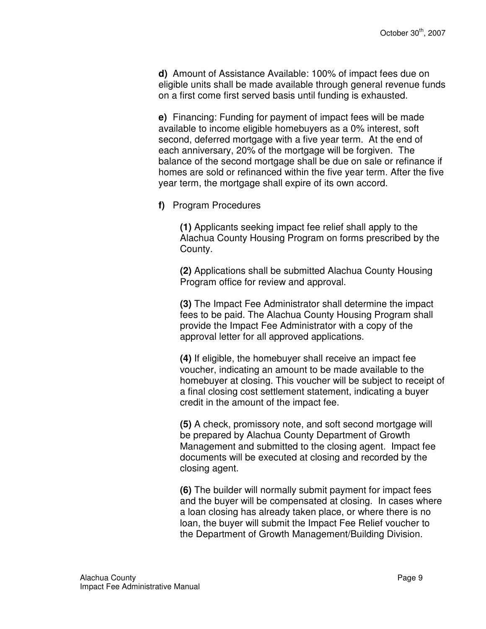**d)** Amount of Assistance Available: 100% of impact fees due on eligible units shall be made available through general revenue funds on a first come first served basis until funding is exhausted.

**e)** Financing: Funding for payment of impact fees will be made available to income eligible homebuyers as a 0% interest, soft second, deferred mortgage with a five year term. At the end of each anniversary, 20% of the mortgage will be forgiven. The balance of the second mortgage shall be due on sale or refinance if homes are sold or refinanced within the five year term. After the five year term, the mortgage shall expire of its own accord.

**f)** Program Procedures

**(1)** Applicants seeking impact fee relief shall apply to the Alachua County Housing Program on forms prescribed by the County.

**(2)** Applications shall be submitted Alachua County Housing Program office for review and approval.

**(3)** The Impact Fee Administrator shall determine the impact fees to be paid. The Alachua County Housing Program shall provide the Impact Fee Administrator with a copy of the approval letter for all approved applications.

**(4)** If eligible, the homebuyer shall receive an impact fee voucher, indicating an amount to be made available to the homebuyer at closing. This voucher will be subject to receipt of a final closing cost settlement statement, indicating a buyer credit in the amount of the impact fee.

**(5)** A check, promissory note, and soft second mortgage will be prepared by Alachua County Department of Growth Management and submitted to the closing agent. Impact fee documents will be executed at closing and recorded by the closing agent.

**(6)** The builder will normally submit payment for impact fees and the buyer will be compensated at closing. In cases where a loan closing has already taken place, or where there is no loan, the buyer will submit the Impact Fee Relief voucher to the Department of Growth Management/Building Division.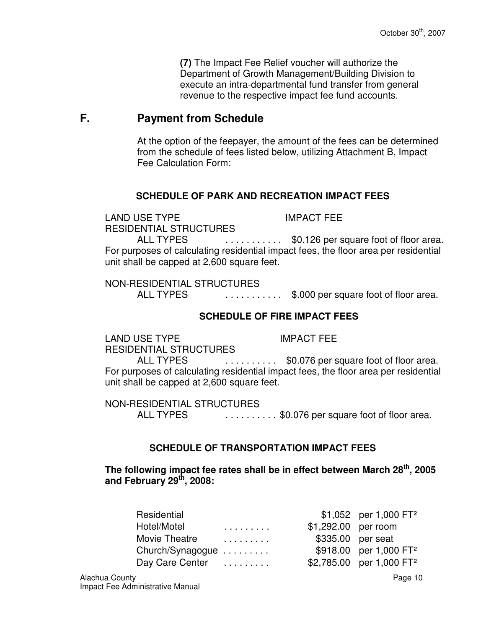**(7)** The Impact Fee Relief voucher will authorize the Department of Growth Management/Building Division to execute an intra-departmental fund transfer from general revenue to the respective impact fee fund accounts.

#### **F. Payment from Schedule**

At the option of the feepayer, the amount of the fees can be determined from the schedule of fees listed below, utilizing Attachment B, Impact Fee Calculation Form:

#### **SCHEDULE OF PARK AND RECREATION IMPACT FEES**

LAND USE TYPE IMPACT FEE RESIDENTIAL STRUCTURES

ALL TYPES . . . . . . . . . . . \$0.126 per square foot of floor area. For purposes of calculating residential impact fees, the floor area per residential unit shall be capped at 2,600 square feet.

NON-RESIDENTIAL STRUCTURES

ALL TYPES . . . . . . . . . . \$.000 per square foot of floor area.

#### **SCHEDULE OF FIRE IMPACT FEES**

LAND USE TYPE IMPACT FEE RESIDENTIAL STRUCTURES

ALL TYPES . . . . . . . . . . \$0.076 per square foot of floor area. For purposes of calculating residential impact fees, the floor area per residential unit shall be capped at 2,600 square feet.

NON-RESIDENTIAL STRUCTURES ALL TYPES . . . . . . . . . . \$0.076 per square foot of floor area.

#### **SCHEDULE OF TRANSPORTATION IMPACT FEES**

**The following impact fee rates shall be in effect between March 28th, 2005 and February 29th, 2008:** 

| Residential      |   |                     | $$1,052$ per 1,000 FT <sup>2</sup>   |
|------------------|---|---------------------|--------------------------------------|
| Hotel/Motel      | . | \$1,292.00 per room |                                      |
| Movie Theatre    | . | \$335.00 per seat   |                                      |
| Church/Synagogue |   |                     | \$918.00 per 1,000 FT <sup>2</sup>   |
| Day Care Center  |   |                     | \$2,785.00 per 1,000 FT <sup>2</sup> |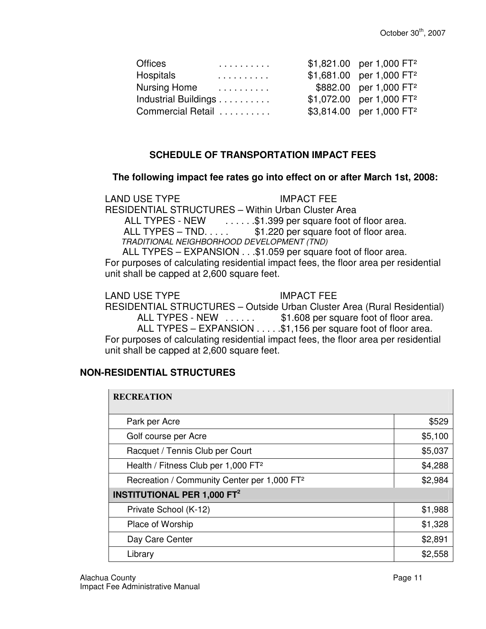| Offices              |   | \$1,821.00 per 1,000 FT <sup>2</sup> |
|----------------------|---|--------------------------------------|
| Hospitals            | . | \$1,681.00 per 1,000 FT <sup>2</sup> |
| <b>Nursing Home</b>  | . | \$882.00 per 1,000 FT <sup>2</sup>   |
| Industrial Buildings |   | \$1,072.00 per 1,000 FT <sup>2</sup> |
| Commercial Retail    |   | \$3,814.00 per 1,000 FT <sup>2</sup> |

#### **SCHEDULE OF TRANSPORTATION IMPACT FEES**

#### **The following impact fee rates go into effect on or after March 1st, 2008:**

LAND USE TYPE IMPACT FEE RESIDENTIAL STRUCTURES – Within Urban Cluster Area ALL TYPES - NEW ......\$1.399 per square foot of floor area. ALL TYPES – TND.  $\dots$  \$1.220 per square foot of floor area. TRADITIONAL NEIGHBORHOOD DEVELOPMENT (TND) ALL TYPES – EXPANSION . . .\$1.059 per square foot of floor area.

For purposes of calculating residential impact fees, the floor area per residential unit shall be capped at 2,600 square feet.

LAND USE TYPE IMPACT FEE

RESIDENTIAL STRUCTURES – Outside Urban Cluster Area (Rural Residential) ALL TYPES - NEW . . . . . . \$1.608 per square foot of floor area. ALL TYPES – EXPANSION . . . . .\$1,156 per square foot of floor area. For purposes of calculating residential impact fees, the floor area per residential unit shall be capped at 2,600 square feet.

#### **NON-RESIDENTIAL STRUCTURES**

| <b>RECREATION</b>                                       |         |  |
|---------------------------------------------------------|---------|--|
| Park per Acre                                           | \$529   |  |
| Golf course per Acre                                    | \$5,100 |  |
| Racquet / Tennis Club per Court                         | \$5,037 |  |
| Health / Fitness Club per 1,000 FT <sup>2</sup>         | \$4,288 |  |
| Recreation / Community Center per 1,000 FT <sup>2</sup> | \$2,984 |  |
| <b>INSTITUTIONAL PER 1,000 FT<sup>2</sup></b>           |         |  |
| Private School (K-12)                                   | \$1,988 |  |
| Place of Worship                                        | \$1,328 |  |
| Day Care Center                                         | \$2,891 |  |
| Library                                                 | \$2,558 |  |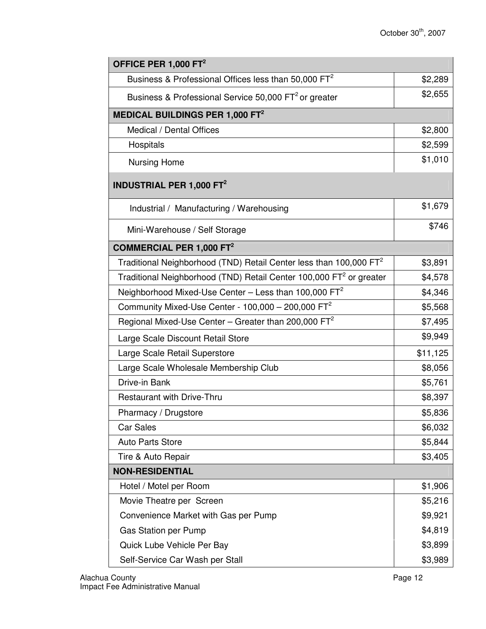| OFFICE PER 1,000 FT <sup>2</sup>                                                |          |
|---------------------------------------------------------------------------------|----------|
| Business & Professional Offices less than 50,000 FT <sup>2</sup>                | \$2,289  |
| Business & Professional Service 50,000 FT <sup>2</sup> or greater               | \$2,655  |
| MEDICAL BUILDINGS PER 1,000 FT <sup>2</sup>                                     |          |
| Medical / Dental Offices                                                        | \$2,800  |
| Hospitals                                                                       | \$2,599  |
| <b>Nursing Home</b>                                                             | \$1,010  |
| <b>INDUSTRIAL PER 1,000 FT<sup>2</sup></b>                                      |          |
| Industrial / Manufacturing / Warehousing                                        | \$1,679  |
| Mini-Warehouse / Self Storage                                                   | \$746    |
| <b>COMMERCIAL PER 1,000 FT<sup>2</sup></b>                                      |          |
| Traditional Neighborhood (TND) Retail Center less than 100,000 $FT2$            | \$3,891  |
| Traditional Neighborhood (TND) Retail Center 100,000 FT <sup>2</sup> or greater | \$4,578  |
| Neighborhood Mixed-Use Center - Less than 100,000 FT <sup>2</sup>               | \$4,346  |
| Community Mixed-Use Center - $100,000 - 200,000$ FT <sup>2</sup>                | \$5,568  |
| Regional Mixed-Use Center - Greater than 200,000 $FT2$                          | \$7,495  |
| Large Scale Discount Retail Store                                               | \$9,949  |
| Large Scale Retail Superstore                                                   | \$11,125 |
| Large Scale Wholesale Membership Club                                           | \$8,056  |
| Drive-in Bank                                                                   | \$5,761  |
| <b>Restaurant with Drive-Thru</b>                                               | \$8,397  |
| Pharmacy / Drugstore                                                            | \$5,836  |
| <b>Car Sales</b>                                                                | \$6,032  |
| <b>Auto Parts Store</b>                                                         | \$5,844  |
| Tire & Auto Repair                                                              | \$3,405  |
| <b>NON-RESIDENTIAL</b>                                                          |          |
| Hotel / Motel per Room                                                          | \$1,906  |
| Movie Theatre per Screen                                                        | \$5,216  |
| Convenience Market with Gas per Pump                                            | \$9,921  |
| <b>Gas Station per Pump</b>                                                     | \$4,819  |
| Quick Lube Vehicle Per Bay                                                      | \$3,899  |
| Self-Service Car Wash per Stall                                                 | \$3,989  |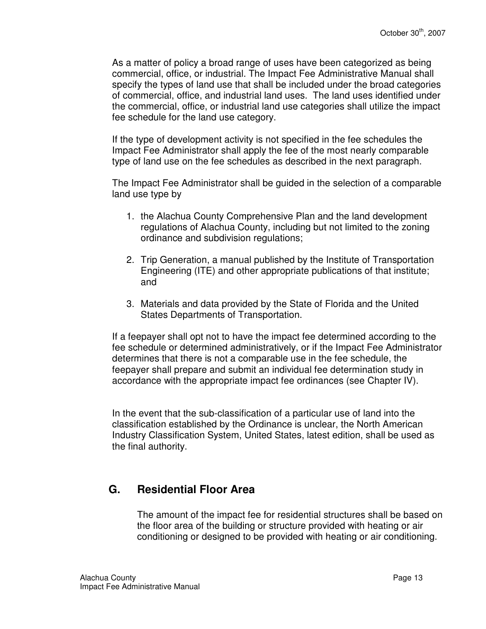As a matter of policy a broad range of uses have been categorized as being commercial, office, or industrial. The Impact Fee Administrative Manual shall specify the types of land use that shall be included under the broad categories of commercial, office, and industrial land uses. The land uses identified under the commercial, office, or industrial land use categories shall utilize the impact fee schedule for the land use category.

If the type of development activity is not specified in the fee schedules the Impact Fee Administrator shall apply the fee of the most nearly comparable type of land use on the fee schedules as described in the next paragraph.

The Impact Fee Administrator shall be guided in the selection of a comparable land use type by

- 1. the Alachua County Comprehensive Plan and the land development regulations of Alachua County, including but not limited to the zoning ordinance and subdivision regulations;
- 2. Trip Generation, a manual published by the Institute of Transportation Engineering (ITE) and other appropriate publications of that institute; and
- 3. Materials and data provided by the State of Florida and the United States Departments of Transportation.

If a feepayer shall opt not to have the impact fee determined according to the fee schedule or determined administratively, or if the Impact Fee Administrator determines that there is not a comparable use in the fee schedule, the feepayer shall prepare and submit an individual fee determination study in accordance with the appropriate impact fee ordinances (see Chapter IV).

In the event that the sub-classification of a particular use of land into the classification established by the Ordinance is unclear, the North American Industry Classification System, United States, latest edition, shall be used as the final authority.

### **G. Residential Floor Area**

The amount of the impact fee for residential structures shall be based on the floor area of the building or structure provided with heating or air conditioning or designed to be provided with heating or air conditioning.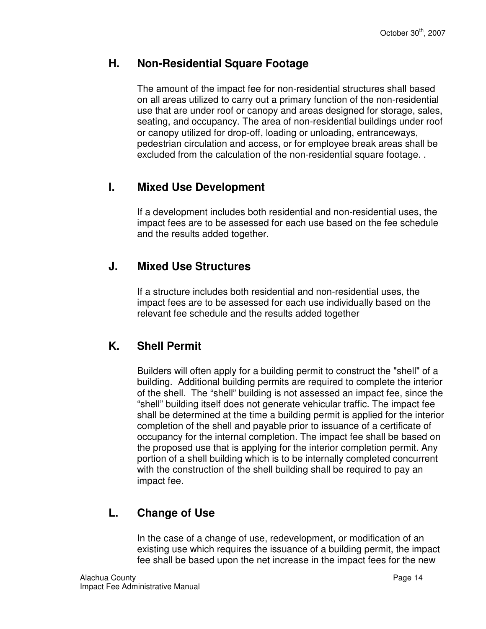#### **H. Non-Residential Square Footage**

The amount of the impact fee for non-residential structures shall based on all areas utilized to carry out a primary function of the non-residential use that are under roof or canopy and areas designed for storage, sales, seating, and occupancy. The area of non-residential buildings under roof or canopy utilized for drop-off, loading or unloading, entranceways, pedestrian circulation and access, or for employee break areas shall be excluded from the calculation of the non-residential square footage. .

### **I. Mixed Use Development**

If a development includes both residential and non-residential uses, the impact fees are to be assessed for each use based on the fee schedule and the results added together.

#### **J. Mixed Use Structures**

If a structure includes both residential and non-residential uses, the impact fees are to be assessed for each use individually based on the relevant fee schedule and the results added together

### **K. Shell Permit**

Builders will often apply for a building permit to construct the "shell" of a building. Additional building permits are required to complete the interior of the shell. The "shell" building is not assessed an impact fee, since the "shell" building itself does not generate vehicular traffic. The impact fee shall be determined at the time a building permit is applied for the interior completion of the shell and payable prior to issuance of a certificate of occupancy for the internal completion. The impact fee shall be based on the proposed use that is applying for the interior completion permit. Any portion of a shell building which is to be internally completed concurrent with the construction of the shell building shall be required to pay an impact fee.

## **L. Change of Use**

In the case of a change of use, redevelopment, or modification of an existing use which requires the issuance of a building permit, the impact fee shall be based upon the net increase in the impact fees for the new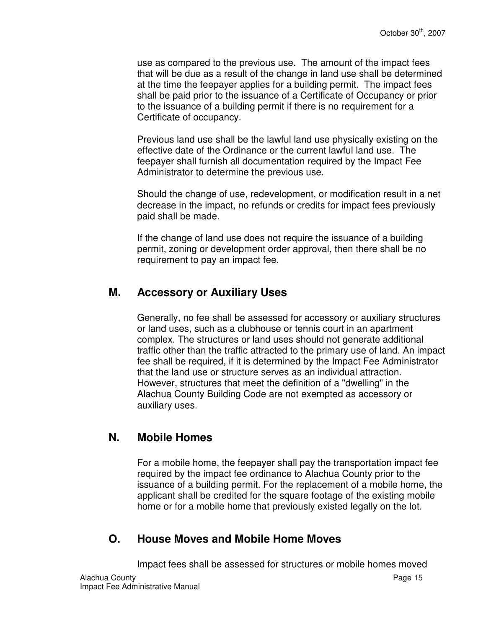use as compared to the previous use. The amount of the impact fees that will be due as a result of the change in land use shall be determined at the time the feepayer applies for a building permit. The impact fees shall be paid prior to the issuance of a Certificate of Occupancy or prior to the issuance of a building permit if there is no requirement for a Certificate of occupancy.

Previous land use shall be the lawful land use physically existing on the effective date of the Ordinance or the current lawful land use. The feepayer shall furnish all documentation required by the Impact Fee Administrator to determine the previous use.

Should the change of use, redevelopment, or modification result in a net decrease in the impact, no refunds or credits for impact fees previously paid shall be made.

If the change of land use does not require the issuance of a building permit, zoning or development order approval, then there shall be no requirement to pay an impact fee.

#### **M. Accessory or Auxiliary Uses**

Generally, no fee shall be assessed for accessory or auxiliary structures or land uses, such as a clubhouse or tennis court in an apartment complex. The structures or land uses should not generate additional traffic other than the traffic attracted to the primary use of land. An impact fee shall be required, if it is determined by the Impact Fee Administrator that the land use or structure serves as an individual attraction. However, structures that meet the definition of a "dwelling" in the Alachua County Building Code are not exempted as accessory or auxiliary uses.

#### **N. Mobile Homes**

For a mobile home, the feepayer shall pay the transportation impact fee required by the impact fee ordinance to Alachua County prior to the issuance of a building permit. For the replacement of a mobile home, the applicant shall be credited for the square footage of the existing mobile home or for a mobile home that previously existed legally on the lot.

#### **O. House Moves and Mobile Home Moves**

Alachua County Page 15 Impact Fee Administrative Manual Impact fees shall be assessed for structures or mobile homes moved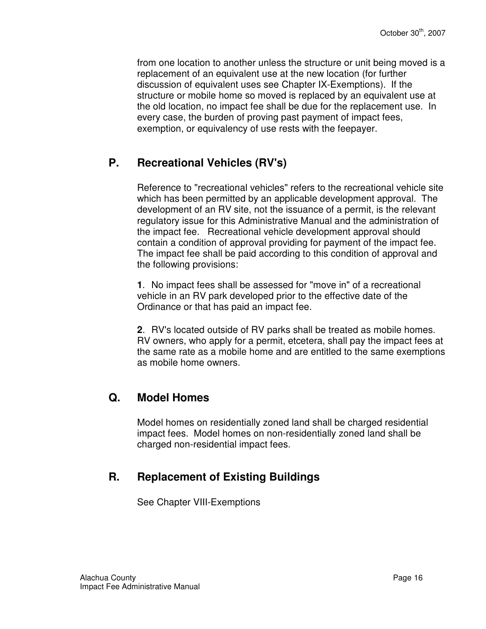from one location to another unless the structure or unit being moved is a replacement of an equivalent use at the new location (for further discussion of equivalent uses see Chapter IX-Exemptions). If the structure or mobile home so moved is replaced by an equivalent use at the old location, no impact fee shall be due for the replacement use. In every case, the burden of proving past payment of impact fees, exemption, or equivalency of use rests with the feepayer.

### **P. Recreational Vehicles (RV's)**

Reference to "recreational vehicles" refers to the recreational vehicle site which has been permitted by an applicable development approval. The development of an RV site, not the issuance of a permit, is the relevant regulatory issue for this Administrative Manual and the administration of the impact fee. Recreational vehicle development approval should contain a condition of approval providing for payment of the impact fee. The impact fee shall be paid according to this condition of approval and the following provisions:

**1**. No impact fees shall be assessed for "move in" of a recreational vehicle in an RV park developed prior to the effective date of the Ordinance or that has paid an impact fee.

**2**. RV's located outside of RV parks shall be treated as mobile homes. RV owners, who apply for a permit, etcetera, shall pay the impact fees at the same rate as a mobile home and are entitled to the same exemptions as mobile home owners.

#### **Q. Model Homes**

Model homes on residentially zoned land shall be charged residential impact fees. Model homes on non-residentially zoned land shall be charged non-residential impact fees.

### **R. Replacement of Existing Buildings**

See Chapter VIII-Exemptions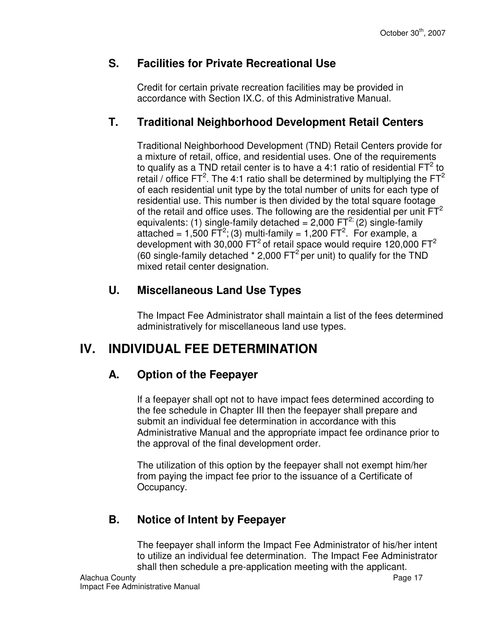#### **S. Facilities for Private Recreational Use**

Credit for certain private recreation facilities may be provided in accordance with Section IX.C. of this Administrative Manual.

#### **T. Traditional Neighborhood Development Retail Centers**

Traditional Neighborhood Development (TND) Retail Centers provide for a mixture of retail, office, and residential uses. One of the requirements to qualify as a TND retail center is to have a 4:1 ratio of residential  $FT<sup>2</sup>$  to retail / office FT<sup>2</sup>. The 4:1 ratio shall be determined by multiplying the FT<sup>2</sup> of each residential unit type by the total number of units for each type of residential use. This number is then divided by the total square footage of the retail and office uses. The following are the residential per unit  $FT<sup>2</sup>$ equivalents: (1) single-family detached =  $2,000$  FT<sup>2;</sup> (2) single-family attached = 1,500 FT<sup>2</sup>; (3) multi-family = 1,200 FT<sup>2</sup>. For example, a development with 30,000 FT<sup>2</sup> of retail space would require 120,000 FT<sup>2</sup> (60 single-family detached  $*$  2,000 FT<sup>2</sup> per unit) to qualify for the TND mixed retail center designation.

### **U. Miscellaneous Land Use Types**

The Impact Fee Administrator shall maintain a list of the fees determined administratively for miscellaneous land use types.

# **IV. INDIVIDUAL FEE DETERMINATION**

## **A. Option of the Feepayer**

If a feepayer shall opt not to have impact fees determined according to the fee schedule in Chapter III then the feepayer shall prepare and submit an individual fee determination in accordance with this Administrative Manual and the appropriate impact fee ordinance prior to the approval of the final development order.

The utilization of this option by the feepayer shall not exempt him/her from paying the impact fee prior to the issuance of a Certificate of Occupancy.

## **B. Notice of Intent by Feepayer**

The feepayer shall inform the Impact Fee Administrator of his/her intent to utilize an individual fee determination. The Impact Fee Administrator shall then schedule a pre-application meeting with the applicant.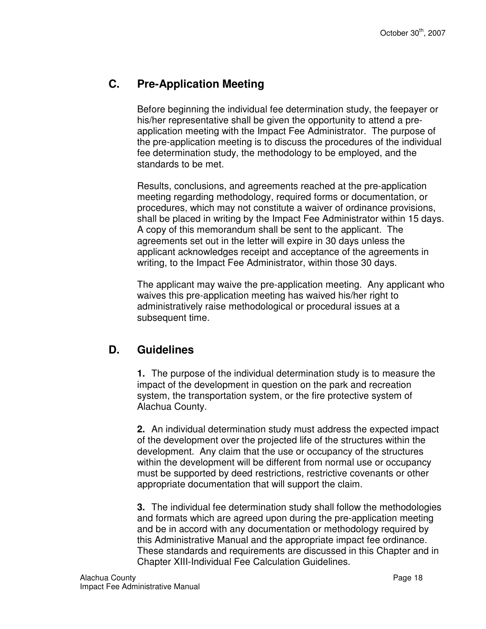### **C. Pre-Application Meeting**

Before beginning the individual fee determination study, the feepayer or his/her representative shall be given the opportunity to attend a preapplication meeting with the Impact Fee Administrator. The purpose of the pre-application meeting is to discuss the procedures of the individual fee determination study, the methodology to be employed, and the standards to be met.

Results, conclusions, and agreements reached at the pre-application meeting regarding methodology, required forms or documentation, or procedures, which may not constitute a waiver of ordinance provisions, shall be placed in writing by the Impact Fee Administrator within 15 days. A copy of this memorandum shall be sent to the applicant. The agreements set out in the letter will expire in 30 days unless the applicant acknowledges receipt and acceptance of the agreements in writing, to the Impact Fee Administrator, within those 30 days.

The applicant may waive the pre-application meeting. Any applicant who waives this pre-application meeting has waived his/her right to administratively raise methodological or procedural issues at a subsequent time.

#### **D. Guidelines**

**1.** The purpose of the individual determination study is to measure the impact of the development in question on the park and recreation system, the transportation system, or the fire protective system of Alachua County.

**2.** An individual determination study must address the expected impact of the development over the projected life of the structures within the development. Any claim that the use or occupancy of the structures within the development will be different from normal use or occupancy must be supported by deed restrictions, restrictive covenants or other appropriate documentation that will support the claim.

**3.** The individual fee determination study shall follow the methodologies and formats which are agreed upon during the pre-application meeting and be in accord with any documentation or methodology required by this Administrative Manual and the appropriate impact fee ordinance. These standards and requirements are discussed in this Chapter and in Chapter XIII-Individual Fee Calculation Guidelines.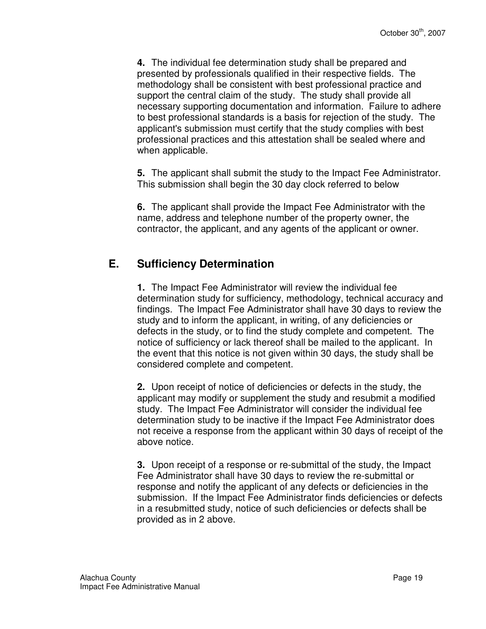**4.** The individual fee determination study shall be prepared and presented by professionals qualified in their respective fields. The methodology shall be consistent with best professional practice and support the central claim of the study. The study shall provide all necessary supporting documentation and information. Failure to adhere to best professional standards is a basis for rejection of the study. The applicant's submission must certify that the study complies with best professional practices and this attestation shall be sealed where and when applicable.

**5.** The applicant shall submit the study to the Impact Fee Administrator. This submission shall begin the 30 day clock referred to below

**6.** The applicant shall provide the Impact Fee Administrator with the name, address and telephone number of the property owner, the contractor, the applicant, and any agents of the applicant or owner.

### **E. Sufficiency Determination**

**1.** The Impact Fee Administrator will review the individual fee determination study for sufficiency, methodology, technical accuracy and findings. The Impact Fee Administrator shall have 30 days to review the study and to inform the applicant, in writing, of any deficiencies or defects in the study, or to find the study complete and competent. The notice of sufficiency or lack thereof shall be mailed to the applicant. In the event that this notice is not given within 30 days, the study shall be considered complete and competent.

**2.** Upon receipt of notice of deficiencies or defects in the study, the applicant may modify or supplement the study and resubmit a modified study. The Impact Fee Administrator will consider the individual fee determination study to be inactive if the Impact Fee Administrator does not receive a response from the applicant within 30 days of receipt of the above notice.

**3.** Upon receipt of a response or re-submittal of the study, the Impact Fee Administrator shall have 30 days to review the re-submittal or response and notify the applicant of any defects or deficiencies in the submission. If the Impact Fee Administrator finds deficiencies or defects in a resubmitted study, notice of such deficiencies or defects shall be provided as in 2 above.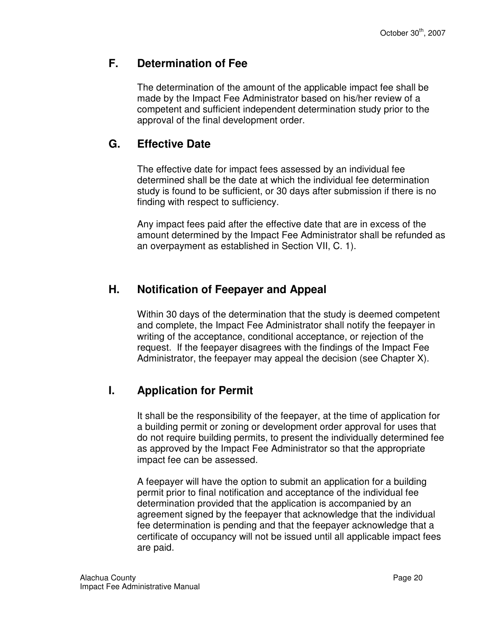#### **F. Determination of Fee**

The determination of the amount of the applicable impact fee shall be made by the Impact Fee Administrator based on his/her review of a competent and sufficient independent determination study prior to the approval of the final development order.

### **G. Effective Date**

The effective date for impact fees assessed by an individual fee determined shall be the date at which the individual fee determination study is found to be sufficient, or 30 days after submission if there is no finding with respect to sufficiency.

Any impact fees paid after the effective date that are in excess of the amount determined by the Impact Fee Administrator shall be refunded as an overpayment as established in Section VII, C. 1).

### **H. Notification of Feepayer and Appeal**

Within 30 days of the determination that the study is deemed competent and complete, the Impact Fee Administrator shall notify the feepayer in writing of the acceptance, conditional acceptance, or rejection of the request. If the feepayer disagrees with the findings of the Impact Fee Administrator, the feepayer may appeal the decision (see Chapter X).

## **I. Application for Permit**

It shall be the responsibility of the feepayer, at the time of application for a building permit or zoning or development order approval for uses that do not require building permits, to present the individually determined fee as approved by the Impact Fee Administrator so that the appropriate impact fee can be assessed.

A feepayer will have the option to submit an application for a building permit prior to final notification and acceptance of the individual fee determination provided that the application is accompanied by an agreement signed by the feepayer that acknowledge that the individual fee determination is pending and that the feepayer acknowledge that a certificate of occupancy will not be issued until all applicable impact fees are paid.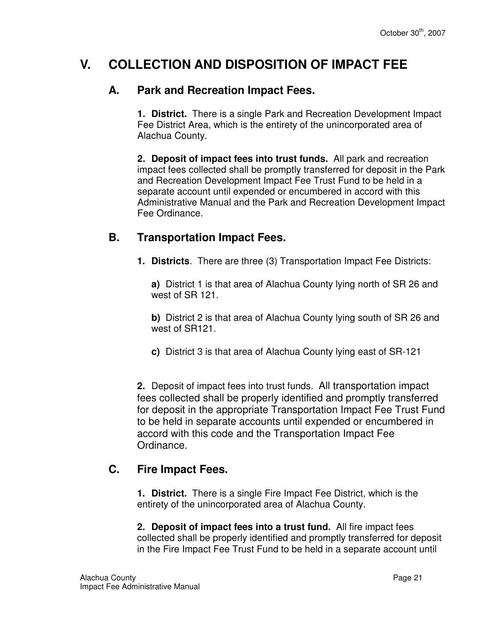# **V. COLLECTION AND DISPOSITION OF IMPACT FEE**

#### **A. Park and Recreation Impact Fees.**

**1. District.** There is a single Park and Recreation Development Impact Fee District Area, which is the entirety of the unincorporated area of Alachua County.

**2. Deposit of impact fees into trust funds.** All park and recreation impact fees collected shall be promptly transferred for deposit in the Park and Recreation Development Impact Fee Trust Fund to be held in a separate account until expended or encumbered in accord with this Administrative Manual and the Park and Recreation Development Impact Fee Ordinance.

#### **B. Transportation Impact Fees.**

**1. Districts**. There are three (3) Transportation Impact Fee Districts:

**a)** District 1 is that area of Alachua County lying north of SR 26 and west of SR 121.

**b)** District 2 is that area of Alachua County lying south of SR 26 and west of SR121.

**c)** District 3 is that area of Alachua County lying east of SR-121

**2.** Deposit of impact fees into trust funds. All transportation impact fees collected shall be properly identified and promptly transferred for deposit in the appropriate Transportation Impact Fee Trust Fund to be held in separate accounts until expended or encumbered in accord with this code and the Transportation Impact Fee Ordinance.

### **C. Fire Impact Fees.**

**1. District.** There is a single Fire Impact Fee District, which is the entirety of the unincorporated area of Alachua County.

**2. Deposit of impact fees into a trust fund.** All fire impact fees collected shall be properly identified and promptly transferred for deposit in the Fire Impact Fee Trust Fund to be held in a separate account until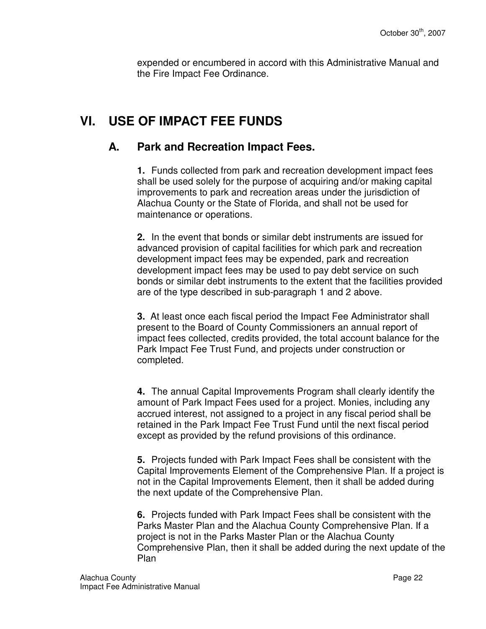expended or encumbered in accord with this Administrative Manual and the Fire Impact Fee Ordinance.

# **VI. USE OF IMPACT FEE FUNDS**

#### **A. Park and Recreation Impact Fees.**

**1.** Funds collected from park and recreation development impact fees shall be used solely for the purpose of acquiring and/or making capital improvements to park and recreation areas under the jurisdiction of Alachua County or the State of Florida, and shall not be used for maintenance or operations.

**2.** In the event that bonds or similar debt instruments are issued for advanced provision of capital facilities for which park and recreation development impact fees may be expended, park and recreation development impact fees may be used to pay debt service on such bonds or similar debt instruments to the extent that the facilities provided are of the type described in sub-paragraph 1 and 2 above.

**3.** At least once each fiscal period the Impact Fee Administrator shall present to the Board of County Commissioners an annual report of impact fees collected, credits provided, the total account balance for the Park Impact Fee Trust Fund, and projects under construction or completed.

**4.** The annual Capital Improvements Program shall clearly identify the amount of Park Impact Fees used for a project. Monies, including any accrued interest, not assigned to a project in any fiscal period shall be retained in the Park Impact Fee Trust Fund until the next fiscal period except as provided by the refund provisions of this ordinance.

**5.** Projects funded with Park Impact Fees shall be consistent with the Capital Improvements Element of the Comprehensive Plan. If a project is not in the Capital Improvements Element, then it shall be added during the next update of the Comprehensive Plan.

**6.** Projects funded with Park Impact Fees shall be consistent with the Parks Master Plan and the Alachua County Comprehensive Plan. If a project is not in the Parks Master Plan or the Alachua County Comprehensive Plan, then it shall be added during the next update of the Plan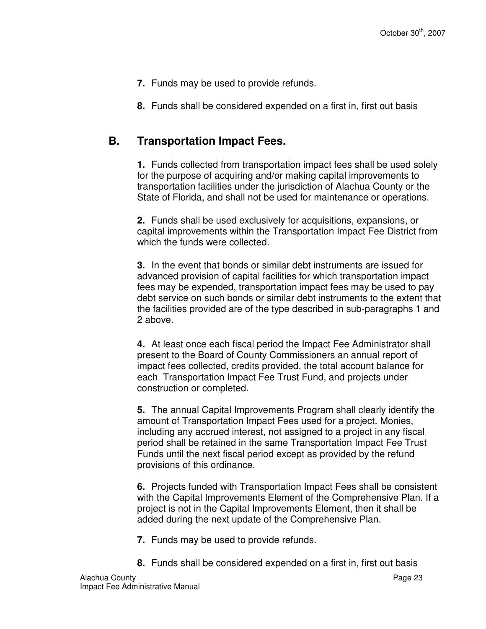- **7.** Funds may be used to provide refunds.
- **8.** Funds shall be considered expended on a first in, first out basis

#### **B. Transportation Impact Fees.**

**1.** Funds collected from transportation impact fees shall be used solely for the purpose of acquiring and/or making capital improvements to transportation facilities under the jurisdiction of Alachua County or the State of Florida, and shall not be used for maintenance or operations.

**2.** Funds shall be used exclusively for acquisitions, expansions, or capital improvements within the Transportation Impact Fee District from which the funds were collected.

**3.** In the event that bonds or similar debt instruments are issued for advanced provision of capital facilities for which transportation impact fees may be expended, transportation impact fees may be used to pay debt service on such bonds or similar debt instruments to the extent that the facilities provided are of the type described in sub-paragraphs 1 and 2 above.

**4.** At least once each fiscal period the Impact Fee Administrator shall present to the Board of County Commissioners an annual report of impact fees collected, credits provided, the total account balance for each Transportation Impact Fee Trust Fund, and projects under construction or completed.

**5.** The annual Capital Improvements Program shall clearly identify the amount of Transportation Impact Fees used for a project. Monies, including any accrued interest, not assigned to a project in any fiscal period shall be retained in the same Transportation Impact Fee Trust Funds until the next fiscal period except as provided by the refund provisions of this ordinance.

**6.** Projects funded with Transportation Impact Fees shall be consistent with the Capital Improvements Element of the Comprehensive Plan. If a project is not in the Capital Improvements Element, then it shall be added during the next update of the Comprehensive Plan.

- **7.** Funds may be used to provide refunds.
- **8.** Funds shall be considered expended on a first in, first out basis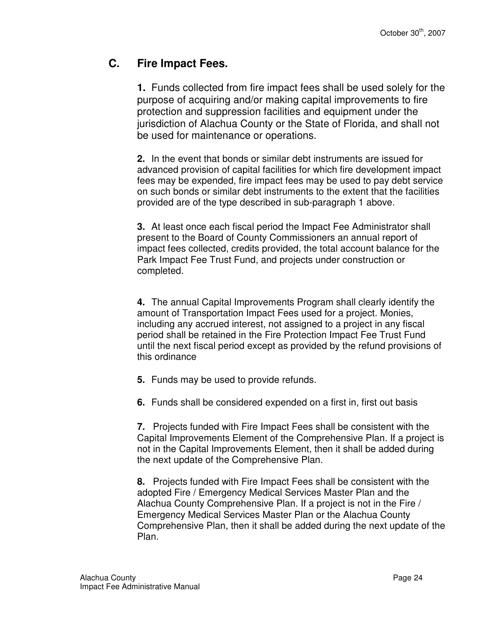#### **C. Fire Impact Fees.**

**1.** Funds collected from fire impact fees shall be used solely for the purpose of acquiring and/or making capital improvements to fire protection and suppression facilities and equipment under the jurisdiction of Alachua County or the State of Florida, and shall not be used for maintenance or operations.

**2.** In the event that bonds or similar debt instruments are issued for advanced provision of capital facilities for which fire development impact fees may be expended, fire impact fees may be used to pay debt service on such bonds or similar debt instruments to the extent that the facilities provided are of the type described in sub-paragraph 1 above.

**3.** At least once each fiscal period the Impact Fee Administrator shall present to the Board of County Commissioners an annual report of impact fees collected, credits provided, the total account balance for the Park Impact Fee Trust Fund, and projects under construction or completed.

**4.** The annual Capital Improvements Program shall clearly identify the amount of Transportation Impact Fees used for a project. Monies, including any accrued interest, not assigned to a project in any fiscal period shall be retained in the Fire Protection Impact Fee Trust Fund until the next fiscal period except as provided by the refund provisions of this ordinance

**5.** Funds may be used to provide refunds.

**6.** Funds shall be considered expended on a first in, first out basis

**7.** Projects funded with Fire Impact Fees shall be consistent with the Capital Improvements Element of the Comprehensive Plan. If a project is not in the Capital Improvements Element, then it shall be added during the next update of the Comprehensive Plan.

**8.** Projects funded with Fire Impact Fees shall be consistent with the adopted Fire / Emergency Medical Services Master Plan and the Alachua County Comprehensive Plan. If a project is not in the Fire / Emergency Medical Services Master Plan or the Alachua County Comprehensive Plan, then it shall be added during the next update of the Plan.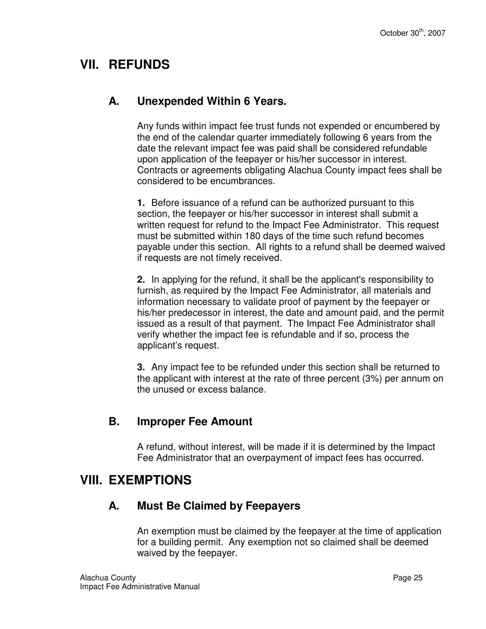# **VII. REFUNDS**

#### **A. Unexpended Within 6 Years.**

Any funds within impact fee trust funds not expended or encumbered by the end of the calendar quarter immediately following 6 years from the date the relevant impact fee was paid shall be considered refundable upon application of the feepayer or his/her successor in interest. Contracts or agreements obligating Alachua County impact fees shall be considered to be encumbrances.

**1.** Before issuance of a refund can be authorized pursuant to this section, the feepayer or his/her successor in interest shall submit a written request for refund to the Impact Fee Administrator. This request must be submitted within 180 days of the time such refund becomes payable under this section. All rights to a refund shall be deemed waived if requests are not timely received.

**2.** In applying for the refund, it shall be the applicant's responsibility to furnish, as required by the Impact Fee Administrator, all materials and information necessary to validate proof of payment by the feepayer or his/her predecessor in interest, the date and amount paid, and the permit issued as a result of that payment. The Impact Fee Administrator shall verify whether the impact fee is refundable and if so, process the applicant's request.

**3.** Any impact fee to be refunded under this section shall be returned to the applicant with interest at the rate of three percent (3%) per annum on the unused or excess balance.

### **B. Improper Fee Amount**

A refund, without interest, will be made if it is determined by the Impact Fee Administrator that an overpayment of impact fees has occurred.

## **VIII. EXEMPTIONS**

### **A. Must Be Claimed by Feepayers**

An exemption must be claimed by the feepayer at the time of application for a building permit. Any exemption not so claimed shall be deemed waived by the feepayer.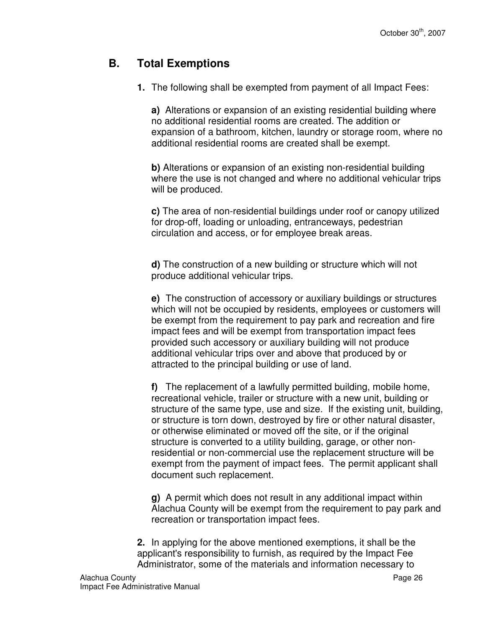#### **B. Total Exemptions**

**1.** The following shall be exempted from payment of all Impact Fees:

**a)** Alterations or expansion of an existing residential building where no additional residential rooms are created. The addition or expansion of a bathroom, kitchen, laundry or storage room, where no additional residential rooms are created shall be exempt.

**b)** Alterations or expansion of an existing non-residential building where the use is not changed and where no additional vehicular trips will be produced.

**c)** The area of non-residential buildings under roof or canopy utilized for drop-off, loading or unloading, entranceways, pedestrian circulation and access, or for employee break areas.

**d)** The construction of a new building or structure which will not produce additional vehicular trips.

**e)** The construction of accessory or auxiliary buildings or structures which will not be occupied by residents, employees or customers will be exempt from the requirement to pay park and recreation and fire impact fees and will be exempt from transportation impact fees provided such accessory or auxiliary building will not produce additional vehicular trips over and above that produced by or attracted to the principal building or use of land.

**f)** The replacement of a lawfully permitted building, mobile home, recreational vehicle, trailer or structure with a new unit, building or structure of the same type, use and size. If the existing unit, building, or structure is torn down, destroyed by fire or other natural disaster, or otherwise eliminated or moved off the site, or if the original structure is converted to a utility building, garage, or other nonresidential or non-commercial use the replacement structure will be exempt from the payment of impact fees. The permit applicant shall document such replacement.

**g)** A permit which does not result in any additional impact within Alachua County will be exempt from the requirement to pay park and recreation or transportation impact fees.

**2.** In applying for the above mentioned exemptions, it shall be the applicant's responsibility to furnish, as required by the Impact Fee Administrator, some of the materials and information necessary to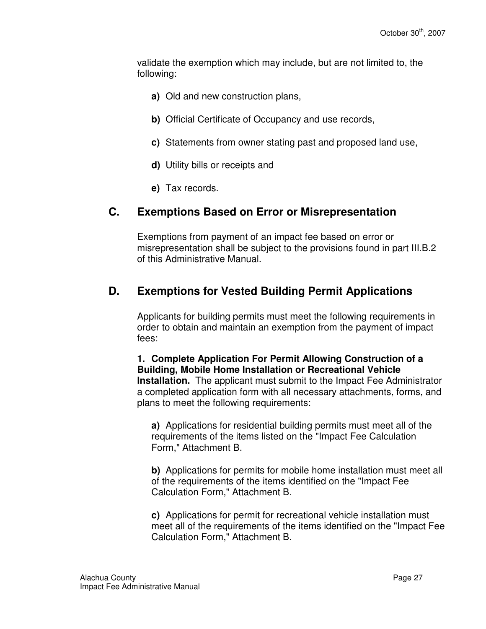validate the exemption which may include, but are not limited to, the following:

- **a)** Old and new construction plans,
- **b)** Official Certificate of Occupancy and use records,
- **c)** Statements from owner stating past and proposed land use,
- **d)** Utility bills or receipts and
- **e)** Tax records.

#### **C. Exemptions Based on Error or Misrepresentation**

Exemptions from payment of an impact fee based on error or misrepresentation shall be subject to the provisions found in part III.B.2 of this Administrative Manual.

#### **D. Exemptions for Vested Building Permit Applications**

Applicants for building permits must meet the following requirements in order to obtain and maintain an exemption from the payment of impact fees:

**1. Complete Application For Permit Allowing Construction of a Building, Mobile Home Installation or Recreational Vehicle Installation.** The applicant must submit to the Impact Fee Administrator a completed application form with all necessary attachments, forms, and plans to meet the following requirements:

**a)** Applications for residential building permits must meet all of the requirements of the items listed on the "Impact Fee Calculation Form," Attachment B.

**b)** Applications for permits for mobile home installation must meet all of the requirements of the items identified on the "Impact Fee Calculation Form," Attachment B.

**c)** Applications for permit for recreational vehicle installation must meet all of the requirements of the items identified on the "Impact Fee Calculation Form," Attachment B.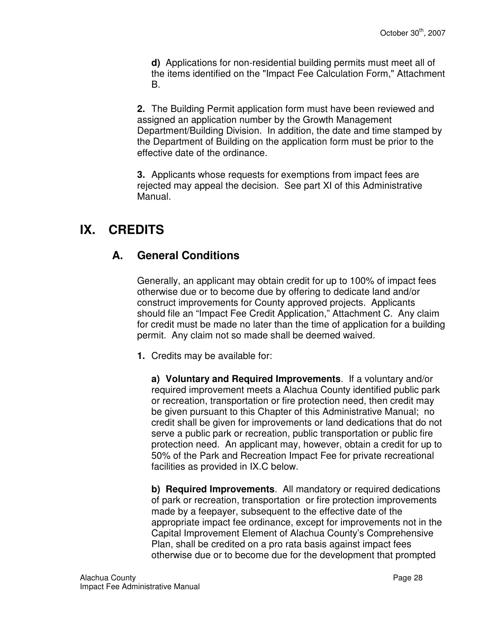**d)** Applications for non-residential building permits must meet all of the items identified on the "Impact Fee Calculation Form," Attachment B.

**2.** The Building Permit application form must have been reviewed and assigned an application number by the Growth Management Department/Building Division. In addition, the date and time stamped by the Department of Building on the application form must be prior to the effective date of the ordinance.

**3.** Applicants whose requests for exemptions from impact fees are rejected may appeal the decision. See part XI of this Administrative Manual.

# **IX. CREDITS**

## **A. General Conditions**

Generally, an applicant may obtain credit for up to 100% of impact fees otherwise due or to become due by offering to dedicate land and/or construct improvements for County approved projects. Applicants should file an "Impact Fee Credit Application," Attachment C. Any claim for credit must be made no later than the time of application for a building permit. Any claim not so made shall be deemed waived.

**1.** Credits may be available for:

**a) Voluntary and Required Improvements**. If a voluntary and/or required improvement meets a Alachua County identified public park or recreation, transportation or fire protection need, then credit may be given pursuant to this Chapter of this Administrative Manual; no credit shall be given for improvements or land dedications that do not serve a public park or recreation, public transportation or public fire protection need. An applicant may, however, obtain a credit for up to 50% of the Park and Recreation Impact Fee for private recreational facilities as provided in IX.C below.

**b) Required Improvements**. All mandatory or required dedications of park or recreation, transportation or fire protection improvements made by a feepayer, subsequent to the effective date of the appropriate impact fee ordinance, except for improvements not in the Capital Improvement Element of Alachua County's Comprehensive Plan, shall be credited on a pro rata basis against impact fees otherwise due or to become due for the development that prompted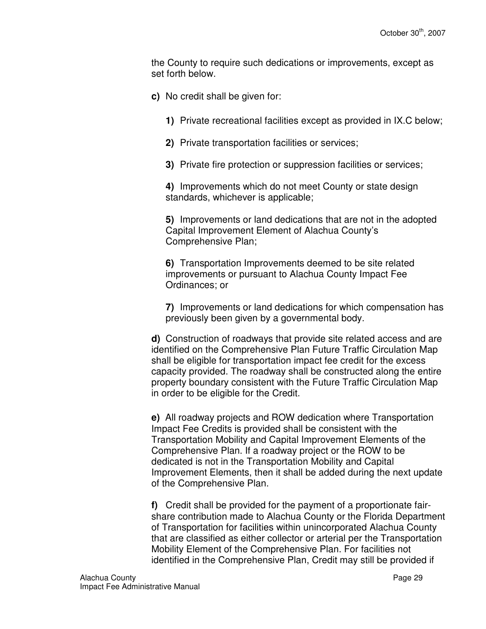the County to require such dedications or improvements, except as set forth below.

- **c)** No credit shall be given for:
	- **1)** Private recreational facilities except as provided in IX.C below;
	- **2)** Private transportation facilities or services;
	- **3)** Private fire protection or suppression facilities or services;

**4)** Improvements which do not meet County or state design standards, whichever is applicable;

**5)** Improvements or land dedications that are not in the adopted Capital Improvement Element of Alachua County's Comprehensive Plan;

**6)** Transportation Improvements deemed to be site related improvements or pursuant to Alachua County Impact Fee Ordinances; or

**7)** Improvements or land dedications for which compensation has previously been given by a governmental body.

**d)** Construction of roadways that provide site related access and are identified on the Comprehensive Plan Future Traffic Circulation Map shall be eligible for transportation impact fee credit for the excess capacity provided. The roadway shall be constructed along the entire property boundary consistent with the Future Traffic Circulation Map in order to be eligible for the Credit.

**e)** All roadway projects and ROW dedication where Transportation Impact Fee Credits is provided shall be consistent with the Transportation Mobility and Capital Improvement Elements of the Comprehensive Plan. If a roadway project or the ROW to be dedicated is not in the Transportation Mobility and Capital Improvement Elements, then it shall be added during the next update of the Comprehensive Plan.

**f)** Credit shall be provided for the payment of a proportionate fairshare contribution made to Alachua County or the Florida Department of Transportation for facilities within unincorporated Alachua County that are classified as either collector or arterial per the Transportation Mobility Element of the Comprehensive Plan. For facilities not identified in the Comprehensive Plan, Credit may still be provided if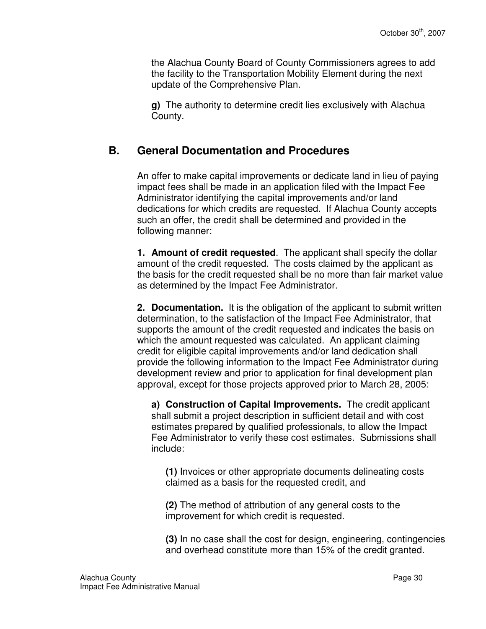the Alachua County Board of County Commissioners agrees to add the facility to the Transportation Mobility Element during the next update of the Comprehensive Plan.

**g)** The authority to determine credit lies exclusively with Alachua County.

#### **B. General Documentation and Procedures**

An offer to make capital improvements or dedicate land in lieu of paying impact fees shall be made in an application filed with the Impact Fee Administrator identifying the capital improvements and/or land dedications for which credits are requested. If Alachua County accepts such an offer, the credit shall be determined and provided in the following manner:

**1. Amount of credit requested**. The applicant shall specify the dollar amount of the credit requested. The costs claimed by the applicant as the basis for the credit requested shall be no more than fair market value as determined by the Impact Fee Administrator.

**2. Documentation.** It is the obligation of the applicant to submit written determination, to the satisfaction of the Impact Fee Administrator, that supports the amount of the credit requested and indicates the basis on which the amount requested was calculated. An applicant claiming credit for eligible capital improvements and/or land dedication shall provide the following information to the Impact Fee Administrator during development review and prior to application for final development plan approval, except for those projects approved prior to March 28, 2005:

**a) Construction of Capital Improvements.** The credit applicant shall submit a project description in sufficient detail and with cost estimates prepared by qualified professionals, to allow the Impact Fee Administrator to verify these cost estimates.Submissions shall include:

**(1)** Invoices or other appropriate documents delineating costs claimed as a basis for the requested credit, and

**(2)** The method of attribution of any general costs to the improvement for which credit is requested.

**(3)** In no case shall the cost for design, engineering, contingencies and overhead constitute more than 15% of the credit granted.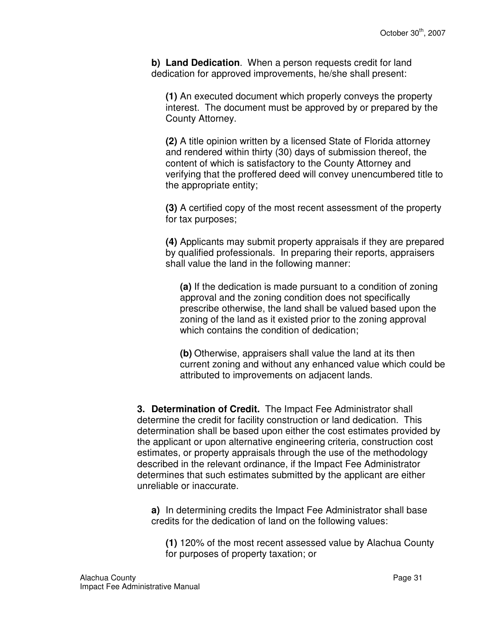**b) Land Dedication**. When a person requests credit for land dedication for approved improvements, he/she shall present:

**(1)** An executed document which properly conveys the property interest. The document must be approved by or prepared by the County Attorney.

**(2)** A title opinion written by a licensed State of Florida attorney and rendered within thirty (30) days of submission thereof, the content of which is satisfactory to the County Attorney and verifying that the proffered deed will convey unencumbered title to the appropriate entity;

**(3)** A certified copy of the most recent assessment of the property for tax purposes;

**(4)** Applicants may submit property appraisals if they are prepared by qualified professionals. In preparing their reports, appraisers shall value the land in the following manner:

**(a)** If the dedication is made pursuant to a condition of zoning approval and the zoning condition does not specifically prescribe otherwise, the land shall be valued based upon the zoning of the land as it existed prior to the zoning approval which contains the condition of dedication;

**(b)** Otherwise, appraisers shall value the land at its then current zoning and without any enhanced value which could be attributed to improvements on adjacent lands.

**3. Determination of Credit.** The Impact Fee Administrator shall determine the credit for facility construction or land dedication. This determination shall be based upon either the cost estimates provided by the applicant or upon alternative engineering criteria, construction cost estimates, or property appraisals through the use of the methodology described in the relevant ordinance, if the Impact Fee Administrator determines that such estimates submitted by the applicant are either unreliable or inaccurate.

**a)** In determining credits the Impact Fee Administrator shall base credits for the dedication of land on the following values:

**(1)** 120% of the most recent assessed value by Alachua County for purposes of property taxation; or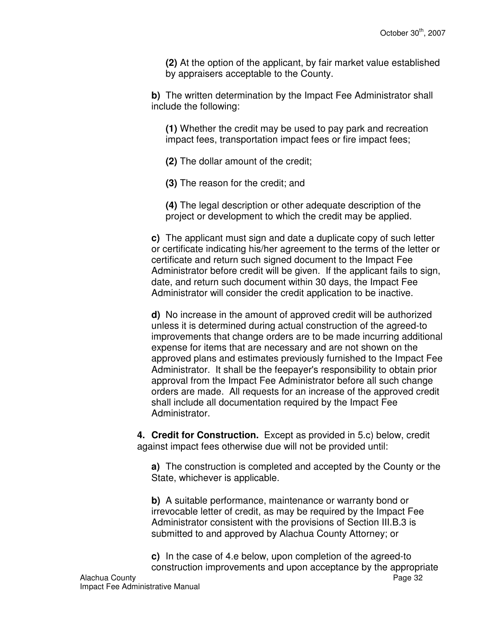**(2)** At the option of the applicant, by fair market value established by appraisers acceptable to the County.

**b)** The written determination by the Impact Fee Administrator shall include the following:

**(1)** Whether the credit may be used to pay park and recreation impact fees, transportation impact fees or fire impact fees;

**(2)** The dollar amount of the credit;

**(3)** The reason for the credit; and

**(4)** The legal description or other adequate description of the project or development to which the credit may be applied.

**c)** The applicant must sign and date a duplicate copy of such letter or certificate indicating his/her agreement to the terms of the letter or certificate and return such signed document to the Impact Fee Administrator before credit will be given. If the applicant fails to sign, date, and return such document within 30 days, the Impact Fee Administrator will consider the credit application to be inactive.

**d)** No increase in the amount of approved credit will be authorized unless it is determined during actual construction of the agreed-to improvements that change orders are to be made incurring additional expense for items that are necessary and are not shown on the approved plans and estimates previously furnished to the Impact Fee Administrator. It shall be the feepayer's responsibility to obtain prior approval from the Impact Fee Administrator before all such change orders are made. All requests for an increase of the approved credit shall include all documentation required by the Impact Fee Administrator.

**4. Credit for Construction.** Except as provided in 5.c) below, credit against impact fees otherwise due will not be provided until:

**a)** The construction is completed and accepted by the County or the State, whichever is applicable.

**b)** A suitable performance, maintenance or warranty bond or irrevocable letter of credit, as may be required by the Impact Fee Administrator consistent with the provisions of Section III.B.3 is submitted to and approved by Alachua County Attorney; or

Alachua County Page 32 **c)** In the case of 4.e below, upon completion of the agreed-to construction improvements and upon acceptance by the appropriate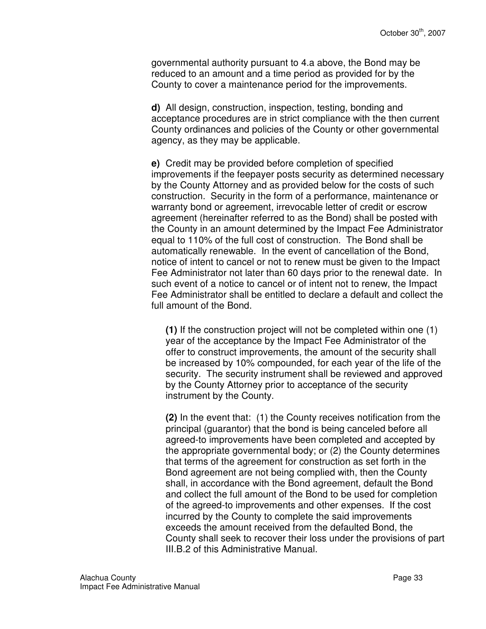governmental authority pursuant to 4.a above, the Bond may be reduced to an amount and a time period as provided for by the County to cover a maintenance period for the improvements.

**d)** All design, construction, inspection, testing, bonding and acceptance procedures are in strict compliance with the then current County ordinances and policies of the County or other governmental agency, as they may be applicable.

**e)** Credit may be provided before completion of specified improvements if the feepayer posts security as determined necessary by the County Attorney and as provided below for the costs of such construction. Security in the form of a performance, maintenance or warranty bond or agreement, irrevocable letter of credit or escrow agreement (hereinafter referred to as the Bond) shall be posted with the County in an amount determined by the Impact Fee Administrator equal to 110% of the full cost of construction. The Bond shall be automatically renewable. In the event of cancellation of the Bond, notice of intent to cancel or not to renew must be given to the Impact Fee Administrator not later than 60 days prior to the renewal date. In such event of a notice to cancel or of intent not to renew, the Impact Fee Administrator shall be entitled to declare a default and collect the full amount of the Bond.

**(1)** If the construction project will not be completed within one (1) year of the acceptance by the Impact Fee Administrator of the offer to construct improvements, the amount of the security shall be increased by 10% compounded, for each year of the life of the security. The security instrument shall be reviewed and approved by the County Attorney prior to acceptance of the security instrument by the County.

**(2)** In the event that: (1) the County receives notification from the principal (guarantor) that the bond is being canceled before all agreed-to improvements have been completed and accepted by the appropriate governmental body; or (2) the County determines that terms of the agreement for construction as set forth in the Bond agreement are not being complied with, then the County shall, in accordance with the Bond agreement, default the Bond and collect the full amount of the Bond to be used for completion of the agreed-to improvements and other expenses. If the cost incurred by the County to complete the said improvements exceeds the amount received from the defaulted Bond, the County shall seek to recover their loss under the provisions of part III.B.2 of this Administrative Manual.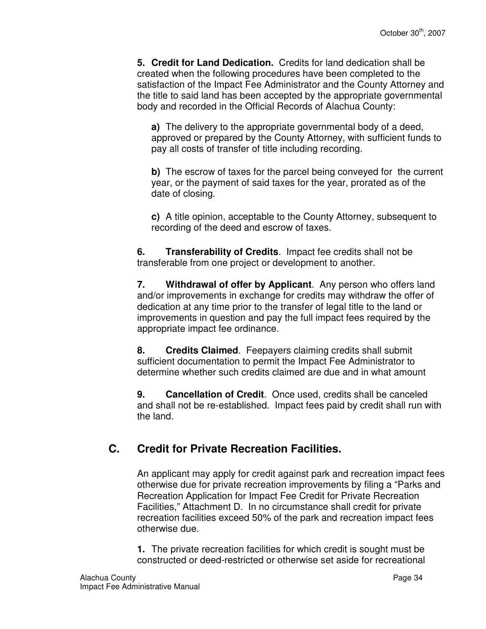**5. Credit for Land Dedication.** Credits for land dedication shall be created when the following procedures have been completed to the satisfaction of the Impact Fee Administrator and the County Attorney and the title to said land has been accepted by the appropriate governmental body and recorded in the Official Records of Alachua County:

**a)** The delivery to the appropriate governmental body of a deed, approved or prepared by the County Attorney, with sufficient funds to pay all costs of transfer of title including recording.

**b)** The escrow of taxes for the parcel being conveyed for the current year, or the payment of said taxes for the year, prorated as of the date of closing.

**c)** A title opinion, acceptable to the County Attorney, subsequent to recording of the deed and escrow of taxes.

**6. Transferability of Credits**. Impact fee credits shall not be transferable from one project or development to another.

**7. Withdrawal of offer by Applicant**. Any person who offers land and/or improvements in exchange for credits may withdraw the offer of dedication at any time prior to the transfer of legal title to the land or improvements in question and pay the full impact fees required by the appropriate impact fee ordinance.

**8. Credits Claimed**. Feepayers claiming credits shall submit sufficient documentation to permit the Impact Fee Administrator to determine whether such credits claimed are due and in what amount

**9. Cancellation of Credit**. Once used, credits shall be canceled and shall not be re-established. Impact fees paid by credit shall run with the land.

## **C. Credit for Private Recreation Facilities.**

An applicant may apply for credit against park and recreation impact fees otherwise due for private recreation improvements by filing a "Parks and Recreation Application for Impact Fee Credit for Private Recreation Facilities," Attachment D. In no circumstance shall credit for private recreation facilities exceed 50% of the park and recreation impact fees otherwise due.

**1.** The private recreation facilities for which credit is sought must be constructed or deed-restricted or otherwise set aside for recreational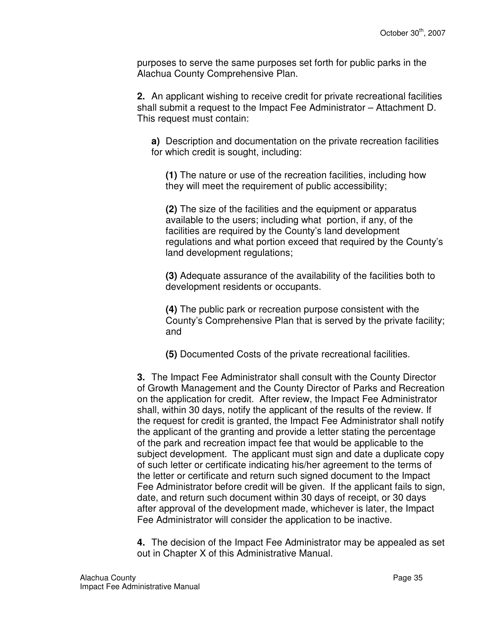purposes to serve the same purposes set forth for public parks in the Alachua County Comprehensive Plan.

**2.** An applicant wishing to receive credit for private recreational facilities shall submit a request to the Impact Fee Administrator – Attachment D. This request must contain:

**a)** Description and documentation on the private recreation facilities for which credit is sought, including:

**(1)** The nature or use of the recreation facilities, including how they will meet the requirement of public accessibility;

**(2)** The size of the facilities and the equipment or apparatus available to the users; including what portion, if any, of the facilities are required by the County's land development regulations and what portion exceed that required by the County's land development regulations;

**(3)** Adequate assurance of the availability of the facilities both to development residents or occupants.

**(4)** The public park or recreation purpose consistent with the County's Comprehensive Plan that is served by the private facility; and

**(5)** Documented Costs of the private recreational facilities.

**3.** The Impact Fee Administrator shall consult with the County Director of Growth Management and the County Director of Parks and Recreation on the application for credit. After review, the Impact Fee Administrator shall, within 30 days, notify the applicant of the results of the review. If the request for credit is granted, the Impact Fee Administrator shall notify the applicant of the granting and provide a letter stating the percentage of the park and recreation impact fee that would be applicable to the subject development. The applicant must sign and date a duplicate copy of such letter or certificate indicating his/her agreement to the terms of the letter or certificate and return such signed document to the Impact Fee Administrator before credit will be given. If the applicant fails to sign, date, and return such document within 30 days of receipt, or 30 days after approval of the development made, whichever is later, the Impact Fee Administrator will consider the application to be inactive.

**4.** The decision of the Impact Fee Administrator may be appealed as set out in Chapter X of this Administrative Manual.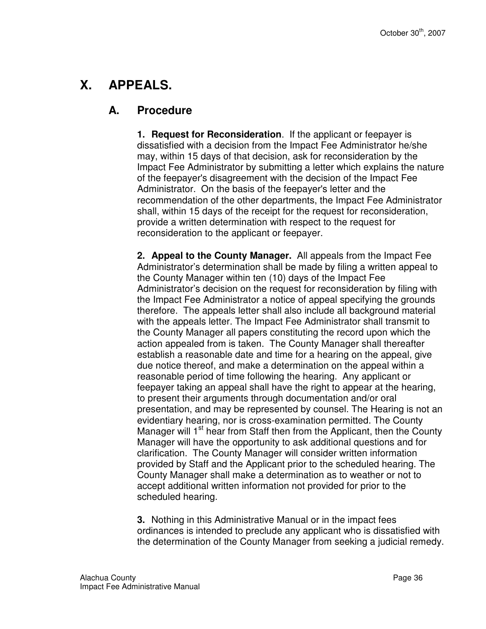# **X. APPEALS.**

#### **A. Procedure**

**1. Request for Reconsideration**. If the applicant or feepayer is dissatisfied with a decision from the Impact Fee Administrator he/she may, within 15 days of that decision, ask for reconsideration by the Impact Fee Administrator by submitting a letter which explains the nature of the feepayer's disagreement with the decision of the Impact Fee Administrator. On the basis of the feepayer's letter and the recommendation of the other departments, the Impact Fee Administrator shall, within 15 days of the receipt for the request for reconsideration, provide a written determination with respect to the request for reconsideration to the applicant or feepayer.

**2. Appeal to the County Manager.** All appeals from the Impact Fee Administrator's determination shall be made by filing a written appeal to the County Manager within ten (10) days of the Impact Fee Administrator's decision on the request for reconsideration by filing with the Impact Fee Administrator a notice of appeal specifying the grounds therefore. The appeals letter shall also include all background material with the appeals letter. The Impact Fee Administrator shall transmit to the County Manager all papers constituting the record upon which the action appealed from is taken. The County Manager shall thereafter establish a reasonable date and time for a hearing on the appeal, give due notice thereof, and make a determination on the appeal within a reasonable period of time following the hearing. Any applicant or feepayer taking an appeal shall have the right to appear at the hearing, to present their arguments through documentation and/or oral presentation, and may be represented by counsel. The Hearing is not an evidentiary hearing, nor is cross-examination permitted. The County Manager will  $1<sup>st</sup>$  hear from Staff then from the Applicant, then the County Manager will have the opportunity to ask additional questions and for clarification. The County Manager will consider written information provided by Staff and the Applicant prior to the scheduled hearing. The County Manager shall make a determination as to weather or not to accept additional written information not provided for prior to the scheduled hearing.

**3.** Nothing in this Administrative Manual or in the impact fees ordinances is intended to preclude any applicant who is dissatisfied with the determination of the County Manager from seeking a judicial remedy.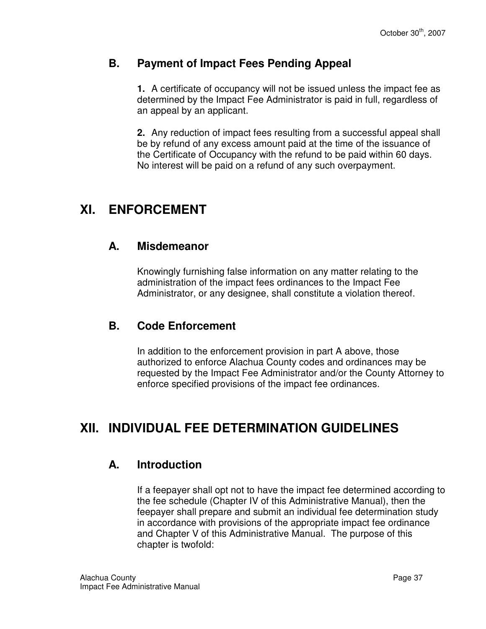#### **B. Payment of Impact Fees Pending Appeal**

**1.** A certificate of occupancy will not be issued unless the impact fee as determined by the Impact Fee Administrator is paid in full, regardless of an appeal by an applicant.

**2.** Any reduction of impact fees resulting from a successful appeal shall be by refund of any excess amount paid at the time of the issuance of the Certificate of Occupancy with the refund to be paid within 60 days. No interest will be paid on a refund of any such overpayment.

# **XI. ENFORCEMENT**

#### **A. Misdemeanor**

Knowingly furnishing false information on any matter relating to the administration of the impact fees ordinances to the Impact Fee Administrator, or any designee, shall constitute a violation thereof.

#### **B. Code Enforcement**

In addition to the enforcement provision in part A above, those authorized to enforce Alachua County codes and ordinances may be requested by the Impact Fee Administrator and/or the County Attorney to enforce specified provisions of the impact fee ordinances.

# **XII. INDIVIDUAL FEE DETERMINATION GUIDELINES**

### **A. Introduction**

If a feepayer shall opt not to have the impact fee determined according to the fee schedule (Chapter IV of this Administrative Manual), then the feepayer shall prepare and submit an individual fee determination study in accordance with provisions of the appropriate impact fee ordinance and Chapter V of this Administrative Manual. The purpose of this chapter is twofold: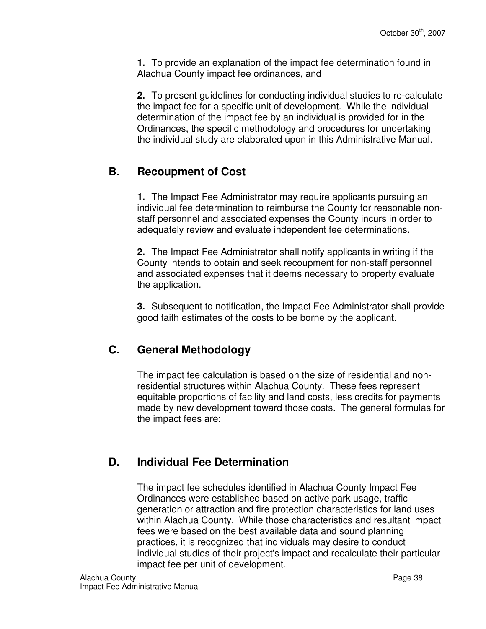**1.** To provide an explanation of the impact fee determination found in Alachua County impact fee ordinances, and

**2.** To present guidelines for conducting individual studies to re-calculate the impact fee for a specific unit of development. While the individual determination of the impact fee by an individual is provided for in the Ordinances, the specific methodology and procedures for undertaking the individual study are elaborated upon in this Administrative Manual.

## **B. Recoupment of Cost**

**1.** The Impact Fee Administrator may require applicants pursuing an individual fee determination to reimburse the County for reasonable nonstaff personnel and associated expenses the County incurs in order to adequately review and evaluate independent fee determinations.

**2.** The Impact Fee Administrator shall notify applicants in writing if the County intends to obtain and seek recoupment for non-staff personnel and associated expenses that it deems necessary to property evaluate the application.

**3.** Subsequent to notification, the Impact Fee Administrator shall provide good faith estimates of the costs to be borne by the applicant.

## **C. General Methodology**

The impact fee calculation is based on the size of residential and nonresidential structures within Alachua County. These fees represent equitable proportions of facility and land costs, less credits for payments made by new development toward those costs. The general formulas for the impact fees are:

## **D. Individual Fee Determination**

The impact fee schedules identified in Alachua County Impact Fee Ordinances were established based on active park usage, traffic generation or attraction and fire protection characteristics for land uses within Alachua County. While those characteristics and resultant impact fees were based on the best available data and sound planning practices, it is recognized that individuals may desire to conduct individual studies of their project's impact and recalculate their particular impact fee per unit of development.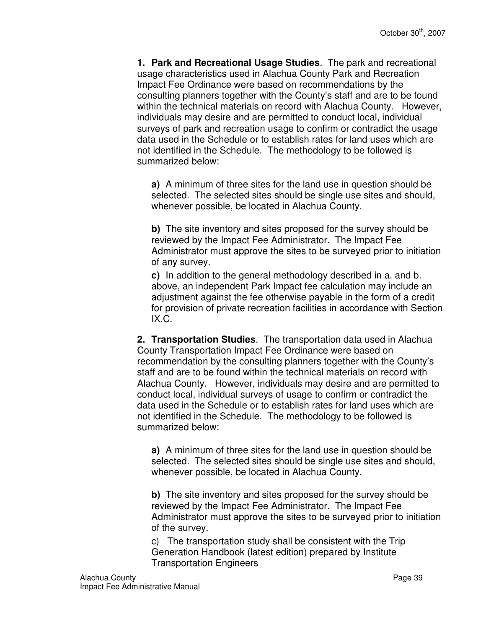**1. Park and Recreational Usage Studies**. The park and recreational usage characteristics used in Alachua County Park and Recreation Impact Fee Ordinance were based on recommendations by the consulting planners together with the County's staff and are to be found within the technical materials on record with Alachua County. However, individuals may desire and are permitted to conduct local, individual surveys of park and recreation usage to confirm or contradict the usage data used in the Schedule or to establish rates for land uses which are not identified in the Schedule. The methodology to be followed is summarized below:

**a)** A minimum of three sites for the land use in question should be selected. The selected sites should be single use sites and should, whenever possible, be located in Alachua County.

**b**) The site inventory and sites proposed for the survey should be reviewed by the Impact Fee Administrator. The Impact Fee Administrator must approve the sites to be surveyed prior to initiation of any survey.

**c)** In addition to the general methodology described in a. and b. above, an independent Park Impact fee calculation may include an adjustment against the fee otherwise payable in the form of a credit for provision of private recreation facilities in accordance with Section IX.C.

**2. Transportation Studies**. The transportation data used in Alachua County Transportation Impact Fee Ordinance were based on recommendation by the consulting planners together with the County's staff and are to be found within the technical materials on record with Alachua County. However, individuals may desire and are permitted to conduct local, individual surveys of usage to confirm or contradict the data used in the Schedule or to establish rates for land uses which are not identified in the Schedule. The methodology to be followed is summarized below:

**a)** A minimum of three sites for the land use in question should be selected. The selected sites should be single use sites and should, whenever possible, be located in Alachua County.

**b)** The site inventory and sites proposed for the survey should be reviewed by the Impact Fee Administrator. The Impact Fee Administrator must approve the sites to be surveyed prior to initiation of the survey.

c) The transportation study shall be consistent with the Trip Generation Handbook (latest edition) prepared by Institute Transportation Engineers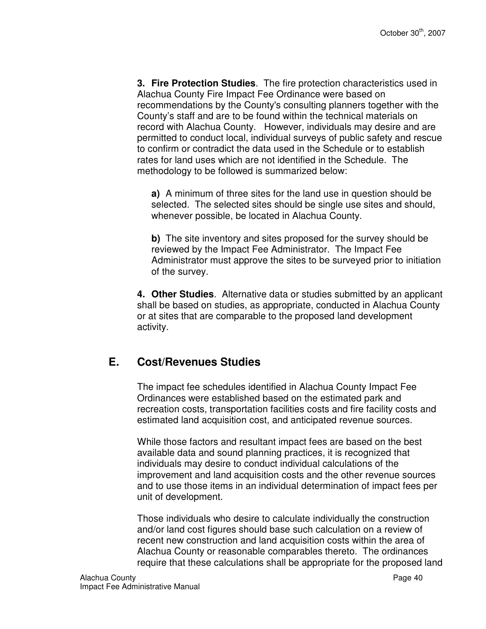**3. Fire Protection Studies**. The fire protection characteristics used in Alachua County Fire Impact Fee Ordinance were based on recommendations by the County's consulting planners together with the County's staff and are to be found within the technical materials on record with Alachua County. However, individuals may desire and are permitted to conduct local, individual surveys of public safety and rescue to confirm or contradict the data used in the Schedule or to establish rates for land uses which are not identified in the Schedule. The methodology to be followed is summarized below:

**a)** A minimum of three sites for the land use in question should be selected. The selected sites should be single use sites and should, whenever possible, be located in Alachua County.

**b**) The site inventory and sites proposed for the survey should be reviewed by the Impact Fee Administrator. The Impact Fee Administrator must approve the sites to be surveyed prior to initiation of the survey.

**4. Other Studies**. Alternative data or studies submitted by an applicant shall be based on studies, as appropriate, conducted in Alachua County or at sites that are comparable to the proposed land development activity.

### **E. Cost/Revenues Studies**

The impact fee schedules identified in Alachua County Impact Fee Ordinances were established based on the estimated park and recreation costs, transportation facilities costs and fire facility costs and estimated land acquisition cost, and anticipated revenue sources.

While those factors and resultant impact fees are based on the best available data and sound planning practices, it is recognized that individuals may desire to conduct individual calculations of the improvement and land acquisition costs and the other revenue sources and to use those items in an individual determination of impact fees per unit of development.

Those individuals who desire to calculate individually the construction and/or land cost figures should base such calculation on a review of recent new construction and land acquisition costs within the area of Alachua County or reasonable comparables thereto. The ordinances require that these calculations shall be appropriate for the proposed land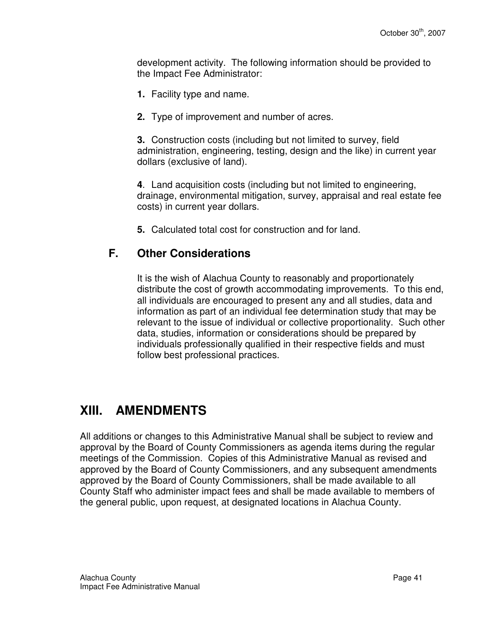development activity. The following information should be provided to the Impact Fee Administrator:

- **1.** Facility type and name.
- **2.** Type of improvement and number of acres.

**3.** Construction costs (including but not limited to survey, field administration, engineering, testing, design and the like) in current year dollars (exclusive of land).

**4**. Land acquisition costs (including but not limited to engineering, drainage, environmental mitigation, survey, appraisal and real estate fee costs) in current year dollars.

**5.** Calculated total cost for construction and for land.

#### **F. Other Considerations**

It is the wish of Alachua County to reasonably and proportionately distribute the cost of growth accommodating improvements. To this end, all individuals are encouraged to present any and all studies, data and information as part of an individual fee determination study that may be relevant to the issue of individual or collective proportionality. Such other data, studies, information or considerations should be prepared by individuals professionally qualified in their respective fields and must follow best professional practices.

## **XIII. AMENDMENTS**

All additions or changes to this Administrative Manual shall be subject to review and approval by the Board of County Commissioners as agenda items during the regular meetings of the Commission. Copies of this Administrative Manual as revised and approved by the Board of County Commissioners, and any subsequent amendments approved by the Board of County Commissioners, shall be made available to all County Staff who administer impact fees and shall be made available to members of the general public, upon request, at designated locations in Alachua County.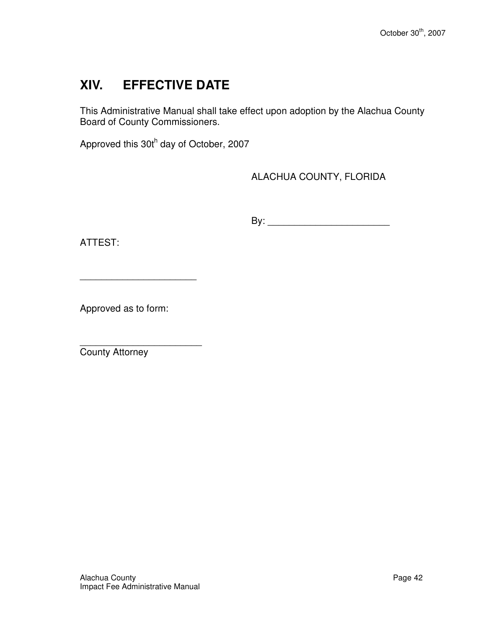# **XIV. EFFECTIVE DATE**

This Administrative Manual shall take effect upon adoption by the Alachua County Board of County Commissioners.

Approved this 30th day of October, 2007

ALACHUA COUNTY, FLORIDA

By: \_\_\_\_\_\_\_\_\_\_\_\_\_\_\_\_\_\_\_\_\_\_\_

ATTEST:

Approved as to form:

\_\_\_\_\_\_\_\_\_\_\_\_\_\_\_\_\_\_\_\_\_\_

\_\_\_\_\_\_\_\_\_\_\_\_\_\_\_\_\_\_\_\_\_\_\_ County Attorney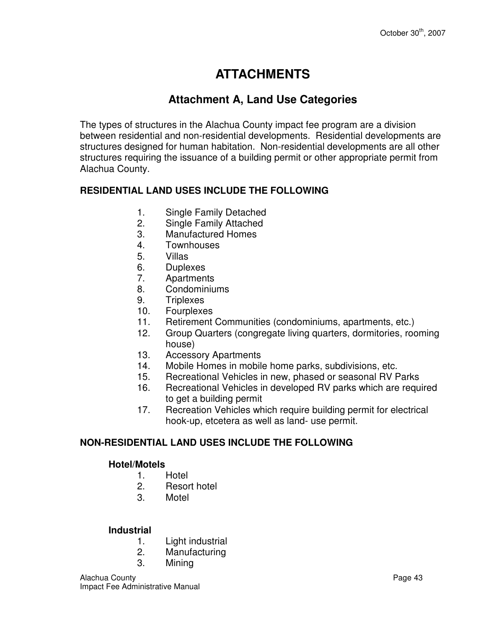# **ATTACHMENTS**

### **Attachment A, Land Use Categories**

The types of structures in the Alachua County impact fee program are a division between residential and non-residential developments. Residential developments are structures designed for human habitation. Non-residential developments are all other structures requiring the issuance of a building permit or other appropriate permit from Alachua County.

#### **RESIDENTIAL LAND USES INCLUDE THE FOLLOWING**

- 1. Single Family Detached
- 2. Single Family Attached
- 3. Manufactured Homes
- 4. Townhouses
- 5. Villas
- 6. Duplexes
- 7. Apartments
- 8. Condominiums
- 9. Triplexes
- 10. Fourplexes
- 11. Retirement Communities (condominiums, apartments, etc.)
- 12. Group Quarters (congregate living quarters, dormitories, rooming house)
- 13. Accessory Apartments
- 14. Mobile Homes in mobile home parks, subdivisions, etc.
- 15. Recreational Vehicles in new, phased or seasonal RV Parks
- 16. Recreational Vehicles in developed RV parks which are required to get a building permit
- 17. Recreation Vehicles which require building permit for electrical hook-up, etcetera as well as land- use permit.

#### **NON-RESIDENTIAL LAND USES INCLUDE THE FOLLOWING**

#### **Hotel/Motels**

- 1. Hotel<br>2. Resor
- Resort hotel
- 3. Motel

#### **Industrial**

- 1. Light industrial
- 2. Manufacturing
- 3. Mining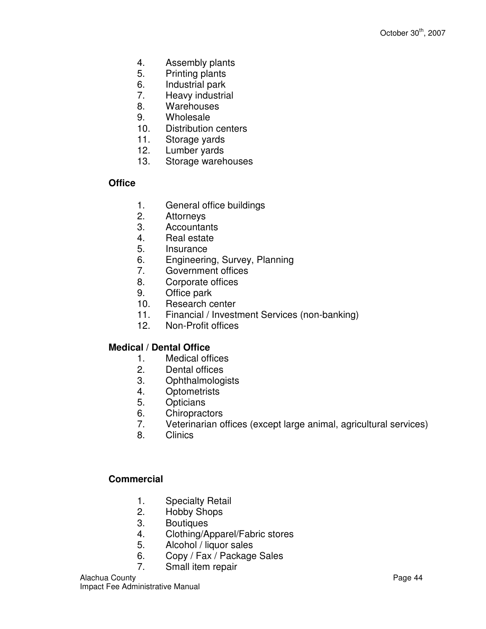- 4. Assembly plants
- 5. Printing plants
- 6. Industrial park
- 7. Heavy industrial
- 8. Warehouses
- 9. Wholesale
- 10. Distribution centers
- 11. Storage yards
- 12. Lumber yards
- 13. Storage warehouses

#### **Office**

- 1. General office buildings
- 2. Attorneys
- 3. Accountants
- 4. Real estate
- 5. Insurance
- 6. Engineering, Survey, Planning
- 7. Government offices
- 8. Corporate offices
- 9. Office park
- 10. Research center
- 11. Financial / Investment Services (non-banking)
- 12. Non-Profit offices

#### **Medical / Dental Office**

- 1. Medical offices
- 2. Dental offices
- 3. Ophthalmologists
- 4. Optometrists
- 5. Opticians
- 6. Chiropractors
- 7. Veterinarian offices (except large animal, agricultural services)
- 8. Clinics

#### **Commercial**

- 1. Specialty Retail
- 2. Hobby Shops
- 3. Boutiques
- 4. Clothing/Apparel/Fabric stores
- 5. Alcohol / liquor sales
- 6. Copy / Fax / Package Sales
- 7. Small item repair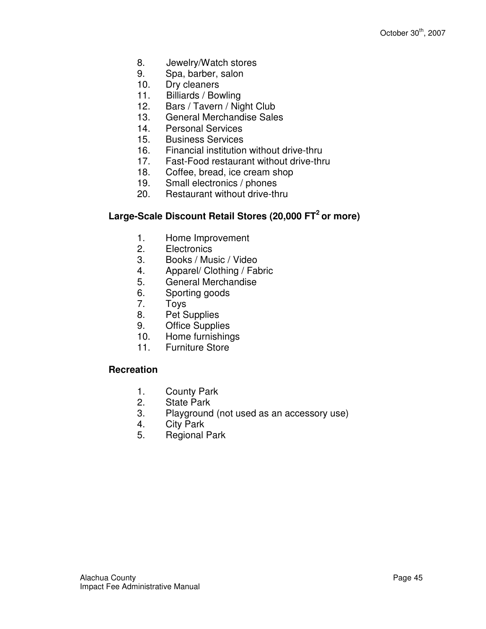- 8. Jewelry/Watch stores
- 9. Spa, barber, salon
- 10. Dry cleaners
- 11. Billiards / Bowling
- 12. Bars / Tavern / Night Club
- 13. General Merchandise Sales
- 14. Personal Services
- 15. Business Services
- 16. Financial institution without drive-thru
- 17. Fast-Food restaurant without drive-thru
- 18. Coffee, bread, ice cream shop
- 19. Small electronics / phones
- 20. Restaurant without drive-thru

#### **Large-Scale Discount Retail Stores (20,000 FT<sup>2</sup>or more)**

- 1. Home Improvement
- 2. Electronics
- 3. Books / Music / Video
- 4. Apparel/ Clothing / Fabric
- 5. General Merchandise
- 6. Sporting goods
- 7. Toys
- 8. Pet Supplies
- 9. Office Supplies
- 10. Home furnishings
- 11. Furniture Store

#### **Recreation**

- 1. County Park<br>2. State Park
- **State Park**
- 3. Playground (not used as an accessory use)
- 4. City Park
- 5. Regional Park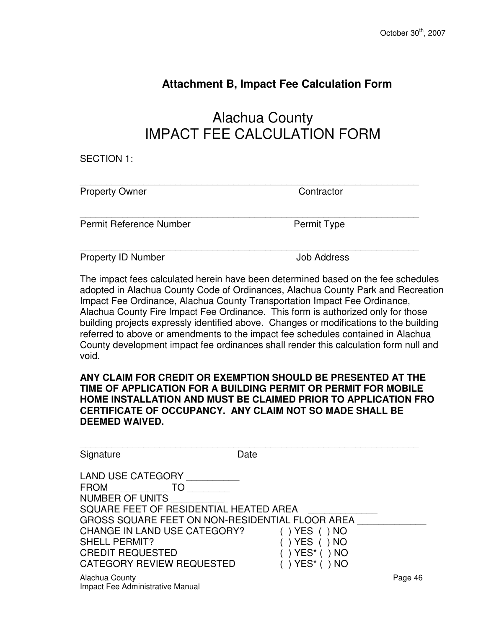### **Attachment B, Impact Fee Calculation Form**

# Alachua County IMPACT FEE CALCULATION FORM

\_\_\_\_\_\_\_\_\_\_\_\_\_\_\_\_\_\_\_\_\_\_\_\_\_\_\_\_\_\_\_\_\_\_\_\_\_\_\_\_\_\_\_\_\_\_\_\_\_\_\_\_\_\_\_\_\_\_\_\_\_\_\_\_

SECTION 1:

Property Owner Contractor

Permit Reference Number Permit Type

\_\_\_\_\_\_\_\_\_\_\_\_\_\_\_\_\_\_\_\_\_\_\_\_\_\_\_\_\_\_\_\_\_\_\_\_\_\_\_\_\_\_\_\_\_\_\_\_\_\_\_\_\_\_\_\_\_\_\_\_\_\_\_\_

Property ID Number **Job Address** 

\_\_\_\_\_\_\_\_\_\_\_\_\_\_\_\_\_\_\_\_\_\_\_\_\_\_\_\_\_\_\_\_\_\_\_\_\_\_\_\_\_\_\_\_\_\_\_\_\_\_\_\_\_\_\_\_\_\_\_\_\_\_\_\_

The impact fees calculated herein have been determined based on the fee schedules adopted in Alachua County Code of Ordinances, Alachua County Park and Recreation Impact Fee Ordinance, Alachua County Transportation Impact Fee Ordinance, Alachua County Fire Impact Fee Ordinance. This form is authorized only for those building projects expressly identified above. Changes or modifications to the building referred to above or amendments to the impact fee schedules contained in Alachua County development impact fee ordinances shall render this calculation form null and void.

**ANY CLAIM FOR CREDIT OR EXEMPTION SHOULD BE PRESENTED AT THE TIME OF APPLICATION FOR A BUILDING PERMIT OR PERMIT FOR MOBILE HOME INSTALLATION AND MUST BE CLAIMED PRIOR TO APPLICATION FRO CERTIFICATE OF OCCUPANCY. ANY CLAIM NOT SO MADE SHALL BE DEEMED WAIVED.**

| Signature                                                                                                                                                                                                                                | Date                                                                                                                                         |         |
|------------------------------------------------------------------------------------------------------------------------------------------------------------------------------------------------------------------------------------------|----------------------------------------------------------------------------------------------------------------------------------------------|---------|
| <b>LAND USE CATEGORY</b><br><b>FROM</b><br>TO<br><b>NUMBER OF UNITS</b><br>SQUARE FEET OF RESIDENTIAL HEATED AREA<br>CHANGE IN LAND USE CATEGORY?<br><b>SHELL PERMIT?</b><br><b>CREDIT REQUESTED</b><br><b>CATEGORY REVIEW REQUESTED</b> | GROSS SQUARE FEET ON NON-RESIDENTIAL FLOOR AREA<br>YES (<br>) NO<br><b>YES</b><br>) NO<br>YES <sup>*</sup> ( ) NO<br>YES <sup>*</sup> ( ) NO |         |
| Alachua County<br>Impact Fee Administrative Manual                                                                                                                                                                                       |                                                                                                                                              | Page 46 |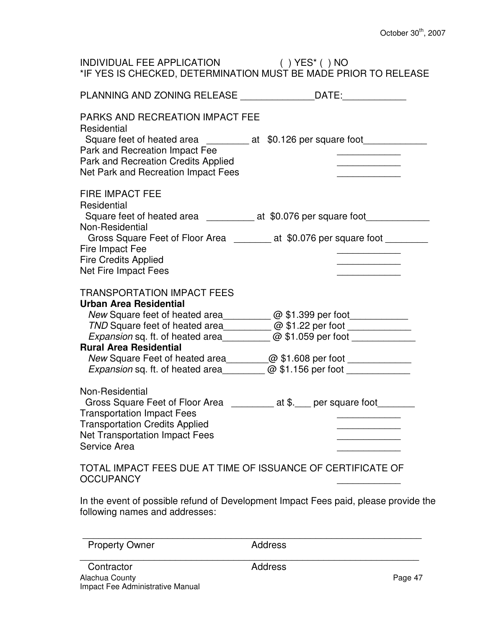| INDIVIDUAL FEE APPLICATION () YES* () NO<br>*IF YES IS CHECKED, DETERMINATION MUST BE MADE PRIOR TO RELEASE                                                                                                                                                                                                                                                                                                                                                                                                                                  |  |
|----------------------------------------------------------------------------------------------------------------------------------------------------------------------------------------------------------------------------------------------------------------------------------------------------------------------------------------------------------------------------------------------------------------------------------------------------------------------------------------------------------------------------------------------|--|
| PLANNING AND ZONING RELEASE _________________DATE:_______________                                                                                                                                                                                                                                                                                                                                                                                                                                                                            |  |
| <b>PARKS AND RECREATION IMPACT FEE</b><br>Residential<br>Square feet of heated area _____________ at \$0.126 per square foot________<br>Park and Recreation Impact Fee<br>Park and Recreation Credits Applied<br>Net Park and Recreation Impact Fees                                                                                                                                                                                                                                                                                         |  |
| <b>FIRE IMPACT FEE</b><br>Residential<br>Square feet of heated area ______________ at \$0.076 per square foot<br>Non-Residential<br>Gross Square Feet of Floor Area _________ at \$0.076 per square foot ____<br>Fire Impact Fee<br><b>Fire Credits Applied</b><br>Net Fire Impact Fees                                                                                                                                                                                                                                                      |  |
| <b>TRANSPORTATION IMPACT FEES</b><br><b>Urban Area Residential</b><br>New Square feet of heated area______________ @ \$1.399 per foot__________________<br>TND Square feet of heated area_______________@ \$1.22 per foot __________________<br>Expansion sq. ft. of heated area_____________@ \$1.059 per foot _________________<br><b>Rural Area Residential</b><br>New Square Feet of heated area___________@ \$1.608 per foot _____________________<br>Expansion sq. ft. of heated area ______________@ \$1.156 per foot _______________ |  |
| Non-Residential<br>Gross Square Feet of Floor Area ___________ at \$.___ per square foot______<br><b>Transportation Impact Fees</b><br><b>Transportation Credits Applied</b><br><b>Net Transportation Impact Fees</b><br>Service Area                                                                                                                                                                                                                                                                                                        |  |
| TOTAL IMPACT FEES DUE AT TIME OF ISSUANCE OF CERTIFICATE OF<br><b>OCCUPANCY</b>                                                                                                                                                                                                                                                                                                                                                                                                                                                              |  |

In the event of possible refund of Development Impact Fees paid, please provide the following names and addresses:

\_\_\_\_\_\_\_\_\_\_\_\_\_\_\_\_\_\_\_\_\_\_\_\_\_\_\_\_\_\_\_\_\_\_\_\_\_\_\_\_\_\_\_\_\_\_\_\_\_\_\_\_\_\_\_\_\_\_\_\_\_\_\_\_

 \_\_\_\_\_\_\_\_\_\_\_\_\_\_\_\_\_\_\_\_\_\_\_\_\_\_\_\_\_\_\_\_\_\_\_\_\_\_\_\_\_\_\_\_\_\_\_\_\_\_\_\_\_\_\_\_\_\_\_\_\_\_\_\_ Property Owner Address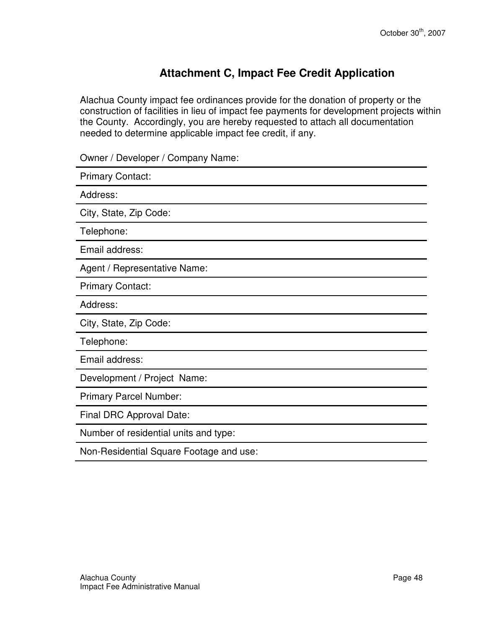### **Attachment C, Impact Fee Credit Application**

Alachua County impact fee ordinances provide for the donation of property or the construction of facilities in lieu of impact fee payments for development projects within the County. Accordingly, you are hereby requested to attach all documentation needed to determine applicable impact fee credit, if any.

Owner / Developer / Company Name:

Primary Contact: Address: City, State, Zip Code: Telephone: Email address: Agent / Representative Name: Primary Contact: Address: City, State, Zip Code: Telephone: Email address: Development / Project Name: Primary Parcel Number: Final DRC Approval Date: Number of residential units and type: Non-Residential Square Footage and use: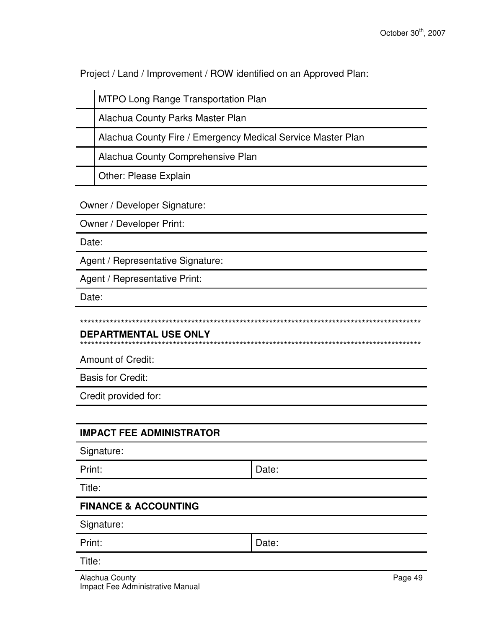Project / Land / Improvement / ROW identified on an Approved Plan:

| <b>MTPO Long Range Transportation Plan</b>                  |
|-------------------------------------------------------------|
| Alachua County Parks Master Plan                            |
| Alachua County Fire / Emergency Medical Service Master Plan |
| Alachua County Comprehensive Plan                           |
| <b>Other: Please Explain</b>                                |

Owner / Developer Signature:

Owner / Developer Print:

Date:

Agent / Representative Signature:

Agent / Representative Print:

Date:

#### **DEPARTMENTAL USE ONLY**

\*\*\*\*\*\*\*\*\*\*\*\*\*\*\*\*\*\*\*\*\*\*\*\*\*\*\*\*\*\*\*\*\*\*\*\*\*\*\*\*\*\*\*\*\*\*\*\*\*\*\*\*\*\*\*\*\*\*\*\*\*\*\*\*\*\*\*\*\*\*\*\*\*\*\*\*\*\*\*\*\*\*\*\*\*\*\*\*\*\*\*\*

Amount of Credit:

Basis for Credit:

Credit provided for:

#### **IMPACT FEE ADMINISTRATOR**

Signature:

Print: Date:

Title:

#### **FINANCE & ACCOUNTING**

Signature:

| Print: | Date: |
|--------|-------|
|        |       |

Title: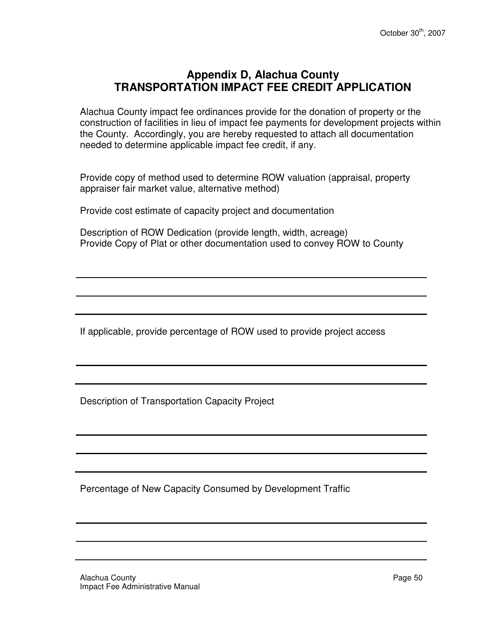#### **Appendix D, Alachua County TRANSPORTATION IMPACT FEE CREDIT APPLICATION**

Alachua County impact fee ordinances provide for the donation of property or the construction of facilities in lieu of impact fee payments for development projects within the County. Accordingly, you are hereby requested to attach all documentation needed to determine applicable impact fee credit, if any.

Provide copy of method used to determine ROW valuation (appraisal, property appraiser fair market value, alternative method)

Provide cost estimate of capacity project and documentation

Description of ROW Dedication (provide length, width, acreage) Provide Copy of Plat or other documentation used to convey ROW to County

If applicable, provide percentage of ROW used to provide project access

Description of Transportation Capacity Project

Percentage of New Capacity Consumed by Development Traffic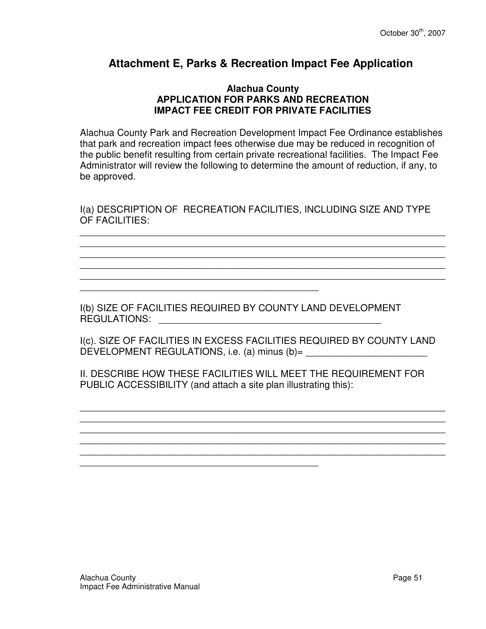#### **Attachment E, Parks & Recreation Impact Fee Application**

#### **Alachua County APPLICATION FOR PARKS AND RECREATION IMPACT FEE CREDIT FOR PRIVATE FACILITIES**

Alachua County Park and Recreation Development Impact Fee Ordinance establishes that park and recreation impact fees otherwise due may be reduced in recognition of the public benefit resulting from certain private recreational facilities. The Impact Fee Administrator will review the following to determine the amount of reduction, if any, to be approved.

I(a) DESCRIPTION OF RECREATION FACILITIES, INCLUDING SIZE AND TYPE OF FACILITIES:

\_\_\_\_\_\_\_\_\_\_\_\_\_\_\_\_\_\_\_\_\_\_\_\_\_\_\_\_\_\_\_\_\_\_\_\_\_\_\_\_\_\_\_\_\_\_\_\_\_\_\_\_\_\_\_\_\_\_\_\_\_\_\_\_\_\_\_\_\_ \_\_\_\_\_\_\_\_\_\_\_\_\_\_\_\_\_\_\_\_\_\_\_\_\_\_\_\_\_\_\_\_\_\_\_\_\_\_\_\_\_\_\_\_\_\_\_\_\_\_\_\_\_\_\_\_\_\_\_\_\_\_\_\_\_\_\_\_\_ \_\_\_\_\_\_\_\_\_\_\_\_\_\_\_\_\_\_\_\_\_\_\_\_\_\_\_\_\_\_\_\_\_\_\_\_\_\_\_\_\_\_\_\_\_\_\_\_\_\_\_\_\_\_\_\_\_\_\_\_\_\_\_\_\_\_\_\_\_ \_\_\_\_\_\_\_\_\_\_\_\_\_\_\_\_\_\_\_\_\_\_\_\_\_\_\_\_\_\_\_\_\_\_\_\_\_\_\_\_\_\_\_\_\_\_\_\_\_\_\_\_\_\_\_\_\_\_\_\_\_\_\_\_\_\_\_\_\_ \_\_\_\_\_\_\_\_\_\_\_\_\_\_\_\_\_\_\_\_\_\_\_\_\_\_\_\_\_\_\_\_\_\_\_\_\_\_\_\_\_\_\_\_\_\_\_\_\_\_\_\_\_\_\_\_\_\_\_\_\_\_\_\_\_\_\_\_\_

I(b) SIZE OF FACILITIES REQUIRED BY COUNTY LAND DEVELOPMENT REGULATIONS: \_\_\_\_\_\_\_\_\_\_\_\_\_\_\_\_\_\_\_\_\_\_\_\_\_\_\_\_\_\_\_\_\_\_\_\_\_\_\_\_\_\_

\_\_\_\_\_\_\_\_\_\_\_\_\_\_\_\_\_\_\_\_\_\_\_\_\_\_\_\_\_\_\_\_\_\_\_\_\_\_\_\_\_\_\_\_\_

\_\_\_\_\_\_\_\_\_\_\_\_\_\_\_\_\_\_\_\_\_\_\_\_\_\_\_\_\_\_\_\_\_\_\_\_\_\_\_\_\_\_\_\_\_

I(c). SIZE OF FACILITIES IN EXCESS FACILITIES REQUIRED BY COUNTY LAND DEVELOPMENT REGULATIONS, i.e. (a) minus (b)=

II. DESCRIBE HOW THESE FACILITIES WILL MEET THE REQUIREMENT FOR PUBLIC ACCESSIBILITY (and attach a site plan illustrating this):

\_\_\_\_\_\_\_\_\_\_\_\_\_\_\_\_\_\_\_\_\_\_\_\_\_\_\_\_\_\_\_\_\_\_\_\_\_\_\_\_\_\_\_\_\_\_\_\_\_\_\_\_\_\_\_\_\_\_\_\_\_\_\_\_\_\_\_\_\_

\_\_\_\_\_\_\_\_\_\_\_\_\_\_\_\_\_\_\_\_\_\_\_\_\_\_\_\_\_\_\_\_\_\_\_\_\_\_\_\_\_\_\_\_\_\_\_\_\_\_\_\_\_\_\_\_\_\_\_\_\_\_\_\_\_\_\_\_\_ \_\_\_\_\_\_\_\_\_\_\_\_\_\_\_\_\_\_\_\_\_\_\_\_\_\_\_\_\_\_\_\_\_\_\_\_\_\_\_\_\_\_\_\_\_\_\_\_\_\_\_\_\_\_\_\_\_\_\_\_\_\_\_\_\_\_\_\_\_ \_\_\_\_\_\_\_\_\_\_\_\_\_\_\_\_\_\_\_\_\_\_\_\_\_\_\_\_\_\_\_\_\_\_\_\_\_\_\_\_\_\_\_\_\_\_\_\_\_\_\_\_\_\_\_\_\_\_\_\_\_\_\_\_\_\_\_\_\_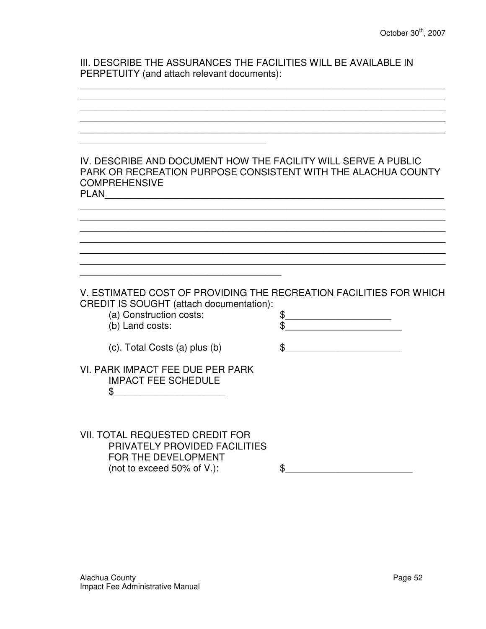III. DESCRIBE THE ASSURANCES THE FACILITIES WILL BE AVAILABLE IN PERPETUITY (and attach relevant documents):

\_\_\_\_\_\_\_\_\_\_\_\_\_\_\_\_\_\_\_\_\_\_\_\_\_\_\_\_\_\_\_\_\_\_\_\_\_\_\_\_\_\_\_\_\_\_\_\_\_\_\_\_\_\_\_\_\_\_\_\_\_\_\_\_\_\_\_\_\_

\_\_\_\_\_\_\_\_\_\_\_\_\_\_\_\_\_\_\_\_\_\_\_\_\_\_\_\_\_\_\_\_\_\_\_\_\_\_\_\_\_\_\_\_\_\_\_\_\_\_\_\_\_\_\_\_\_\_\_\_\_\_\_\_\_\_\_\_\_ \_\_\_\_\_\_\_\_\_\_\_\_\_\_\_\_\_\_\_\_\_\_\_\_\_\_\_\_\_\_\_\_\_\_\_\_\_\_\_\_\_\_\_\_\_\_\_\_\_\_\_\_\_\_\_\_\_\_\_\_\_\_\_\_\_\_\_\_\_ \_\_\_\_\_\_\_\_\_\_\_\_\_\_\_\_\_\_\_\_\_\_\_\_\_\_\_\_\_\_\_\_\_\_\_\_\_\_\_\_\_\_\_\_\_\_\_\_\_\_\_\_\_\_\_\_\_\_\_\_\_\_\_\_\_\_\_\_\_ \_\_\_\_\_\_\_\_\_\_\_\_\_\_\_\_\_\_\_\_\_\_\_\_\_\_\_\_\_\_\_\_\_\_\_\_\_\_\_\_\_\_\_\_\_\_\_\_\_\_\_\_\_\_\_\_\_\_\_\_\_\_\_\_\_\_\_\_\_ \_\_\_\_\_\_\_\_\_\_\_\_\_\_\_\_\_\_\_\_\_\_\_\_\_\_\_\_\_\_\_\_\_\_\_ IV. DESCRIBE AND DOCUMENT HOW THE FACILITY WILL SERVE A PUBLIC PARK OR RECREATION PURPOSE CONSISTENT WITH THE ALACHUA COUNTY **COMPREHENSIVE** PLAN\_\_\_\_\_\_\_\_\_\_\_\_\_\_\_\_\_\_\_\_\_\_\_\_\_\_\_\_\_\_\_\_\_\_\_\_\_\_\_\_\_\_\_\_\_\_\_\_\_\_\_\_\_\_\_\_\_\_\_\_\_\_\_\_ \_\_\_\_\_\_\_\_\_\_\_\_\_\_\_\_\_\_\_\_\_\_\_\_\_\_\_\_\_\_\_\_\_\_\_\_\_\_\_\_\_\_\_\_\_\_\_\_\_\_\_\_\_\_\_\_\_\_\_\_\_\_\_\_\_\_\_\_\_ \_\_\_\_\_\_\_\_\_\_\_\_\_\_\_\_\_\_\_\_\_\_\_\_\_\_\_\_\_\_\_\_\_\_\_\_\_\_\_\_\_\_\_\_\_\_\_\_\_\_\_\_\_\_\_\_\_\_\_\_\_\_\_\_\_\_\_\_\_ \_\_\_\_\_\_\_\_\_\_\_\_\_\_\_\_\_\_\_\_\_\_\_\_\_\_\_\_\_\_\_\_\_\_\_\_\_\_\_\_\_\_\_\_\_\_\_\_\_\_\_\_\_\_\_\_\_\_\_\_\_\_\_\_\_\_\_\_\_ \_\_\_\_\_\_\_\_\_\_\_\_\_\_\_\_\_\_\_\_\_\_\_\_\_\_\_\_\_\_\_\_\_\_\_\_\_\_\_\_\_\_\_\_\_\_\_\_\_\_\_\_\_\_\_\_\_\_\_\_\_\_\_\_\_\_\_\_\_ \_\_\_\_\_\_\_\_\_\_\_\_\_\_\_\_\_\_\_\_\_\_\_\_\_\_\_\_\_\_\_\_\_\_\_\_\_\_\_\_\_\_\_\_\_\_\_\_\_\_\_\_\_\_\_\_\_\_\_\_\_\_\_\_\_\_\_\_\_ \_\_\_\_\_\_\_\_\_\_\_\_\_\_\_\_\_\_\_\_\_\_\_\_\_\_\_\_\_\_\_\_\_\_\_\_\_\_\_\_\_\_\_\_\_\_\_\_\_\_\_\_\_\_\_\_\_\_\_\_\_\_\_\_\_\_\_\_\_ \_\_\_\_\_\_\_\_\_\_\_\_\_\_\_\_\_\_\_\_\_\_\_\_\_\_\_\_\_\_\_\_\_\_\_\_\_\_ V. ESTIMATED COST OF PROVIDING THE RECREATION FACILITIES FOR WHICH CREDIT IS SOUGHT (attach documentation): (a) Construction costs:  $\qquad$  \$ (b) Land costs:  $\qquad \qquad$  \$ (c). Total Costs (a) plus (b)  $\qquad \qquad \$ VI. PARK IMPACT FEE DUE PER PARK IMPACT FEE SCHEDULE \$\_\_\_\_\_\_\_\_\_\_\_\_\_\_\_\_\_\_\_\_\_ VII. TOTAL REQUESTED CREDIT FOR PRIVATELY PROVIDED FACILITIES FOR THE DEVELOPMENT (not to exceed 50% of V.):  $\qquad \qquad \$$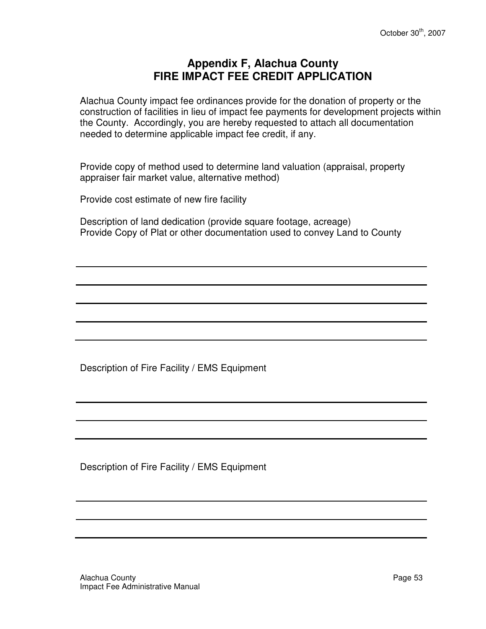#### **Appendix F, Alachua County FIRE IMPACT FEE CREDIT APPLICATION**

Alachua County impact fee ordinances provide for the donation of property or the construction of facilities in lieu of impact fee payments for development projects within the County. Accordingly, you are hereby requested to attach all documentation needed to determine applicable impact fee credit, if any.

Provide copy of method used to determine land valuation (appraisal, property appraiser fair market value, alternative method)

Provide cost estimate of new fire facility

Description of land dedication (provide square footage, acreage) Provide Copy of Plat or other documentation used to convey Land to County

Description of Fire Facility / EMS Equipment

Description of Fire Facility / EMS Equipment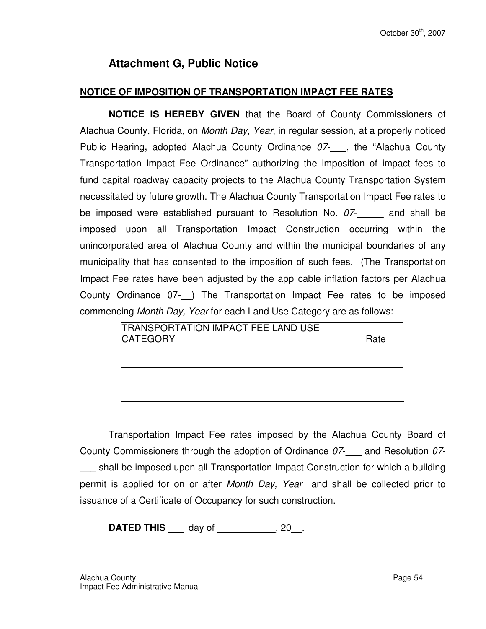#### **Attachment G, Public Notice**

#### **NOTICE OF IMPOSITION OF TRANSPORTATION IMPACT FEE RATES**

**NOTICE IS HEREBY GIVEN** that the Board of County Commissioners of Alachua County, Florida, on Month Day, Year, in regular session, at a properly noticed Public Hearing, adopted Alachua County Ordinance 07- , the "Alachua County Transportation Impact Fee Ordinance" authorizing the imposition of impact fees to fund capital roadway capacity projects to the Alachua County Transportation System necessitated by future growth. The Alachua County Transportation Impact Fee rates to be imposed were established pursuant to Resolution No. 07-<br>and shall be imposed upon all Transportation Impact Construction occurring within the unincorporated area of Alachua County and within the municipal boundaries of any municipality that has consented to the imposition of such fees. (The Transportation Impact Fee rates have been adjusted by the applicable inflation factors per Alachua County Ordinance 07- ) The Transportation Impact Fee rates to be imposed commencing Month Day, Year for each Land Use Category are as follows:

| <b>TRANSPORTATION IMPACT FEE LAND USE</b> |      |
|-------------------------------------------|------|
| <b>CATEGORY</b>                           | Rate |
|                                           |      |
|                                           |      |
|                                           |      |
|                                           |      |

Transportation Impact Fee rates imposed by the Alachua County Board of County Commissioners through the adoption of Ordinance  $07-$  and Resolution  $07$ shall be imposed upon all Transportation Impact Construction for which a building permit is applied for on or after Month Day, Year and shall be collected prior to issuance of a Certificate of Occupancy for such construction.

**DATED THIS** \_\_\_\_ day of \_\_\_\_\_\_\_\_\_\_\_, 20\_\_.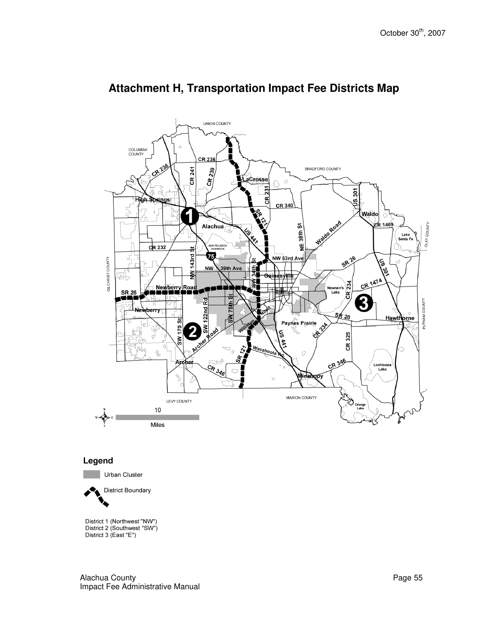

#### **Attachment H, Transportation Impact Fee Districts Map**

#### Legend

Urban Cluster

**District Boundary** 

District 1 (Northwest "NW") District 2 (Southwest "SW") District 3 (East "E")